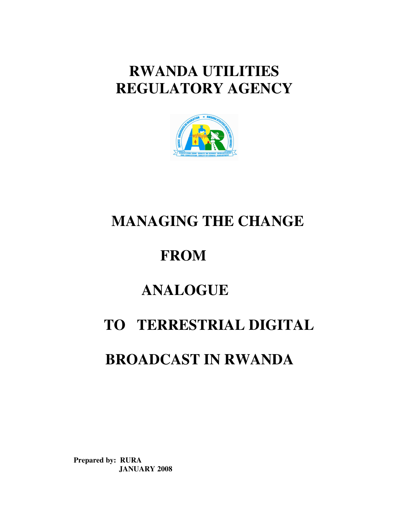# **RWANDA UTILITIES REGULATORY AGENCY**



# **MANAGING THE CHANGE**

# **FROM**

# **ANALOGUE**

# **TO TERRESTRIAL DIGITAL**

# **BROADCAST IN RWANDA**

**Prepared by: RURA JANUARY 2008**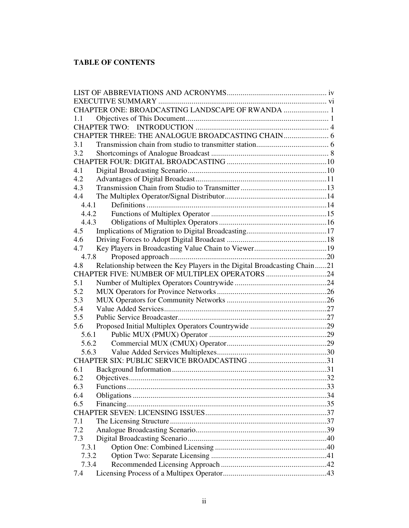# **TABLE OF CONTENTS**

| CHAPTER ONE: BROADCASTING LANDSCAPE OF RWANDA  1                                |     |
|---------------------------------------------------------------------------------|-----|
| 1.1                                                                             |     |
|                                                                                 |     |
|                                                                                 |     |
| 3.1                                                                             |     |
| 3.2                                                                             |     |
|                                                                                 |     |
| 4.1                                                                             |     |
| 4.2                                                                             |     |
| 4.3                                                                             |     |
| 4.4                                                                             |     |
| 4.4.1                                                                           |     |
| 4.4.2                                                                           |     |
| 4.4.3                                                                           |     |
| 4.5                                                                             |     |
| 4.6                                                                             |     |
| 4.7                                                                             |     |
| 4.7.8                                                                           |     |
| Relationship between the Key Players in the Digital Broadcasting Chain21<br>4.8 |     |
| CHAPTER FIVE: NUMBER OF MULTIPLEX OPERATORS 24                                  |     |
| 5.1                                                                             |     |
| 5.2                                                                             |     |
| 5.3                                                                             |     |
| 5.4                                                                             |     |
| 5.5                                                                             |     |
| 5.6                                                                             |     |
| 5.6.1                                                                           |     |
| 5.6.2                                                                           |     |
| 5.6.3                                                                           |     |
|                                                                                 |     |
| 6.1                                                                             |     |
| 6.2                                                                             |     |
| 63<br><b>Functions</b>                                                          | .33 |
| 6.4                                                                             |     |
| 6.5                                                                             |     |
|                                                                                 |     |
| 7.1                                                                             |     |
| 7.2                                                                             |     |
| 7.3                                                                             |     |
| 7.3.1                                                                           |     |
| 7.3.2                                                                           |     |
| 7.3.4                                                                           |     |
| 7.4                                                                             |     |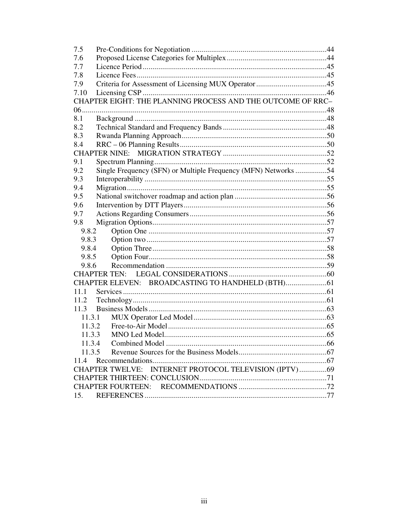| 7.5    |                                                                 |  |
|--------|-----------------------------------------------------------------|--|
| 7.6    |                                                                 |  |
| 7.7    |                                                                 |  |
| 7.8    |                                                                 |  |
| 7.9    |                                                                 |  |
| 7.10   |                                                                 |  |
|        | CHAPTER EIGHT: THE PLANNING PROCESS AND THE OUTCOME OF RRC-     |  |
| 06.    |                                                                 |  |
| 8.1    |                                                                 |  |
| 8.2    |                                                                 |  |
| 8.3    |                                                                 |  |
| 8.4    |                                                                 |  |
|        | <b>CHAPTER NINE:</b>                                            |  |
| 9.1    |                                                                 |  |
| 9.2    | Single Frequency (SFN) or Multiple Frequency (MFN) Networks 54  |  |
| 9.3    |                                                                 |  |
| 9.4    |                                                                 |  |
| 9.5    |                                                                 |  |
| 9.6    |                                                                 |  |
| 9.7    |                                                                 |  |
| 9.8    |                                                                 |  |
| 9.8.2  |                                                                 |  |
| 9.8.3  |                                                                 |  |
| 9.8.4  |                                                                 |  |
| 9.8.5  |                                                                 |  |
| 9.8.6  |                                                                 |  |
|        | <b>CHAPTER TEN:</b>                                             |  |
|        |                                                                 |  |
| 11.1   |                                                                 |  |
| 11.2   |                                                                 |  |
| 11.3   |                                                                 |  |
| 11.3.1 |                                                                 |  |
| 11.3.2 |                                                                 |  |
| 11.3.3 |                                                                 |  |
| 11.3.4 |                                                                 |  |
| 11.3.5 |                                                                 |  |
| 11.4   |                                                                 |  |
|        | INTERNET PROTOCOL TELEVISION (IPTV)69<br><b>CHAPTER TWELVE:</b> |  |
|        |                                                                 |  |
|        |                                                                 |  |
| 15.    |                                                                 |  |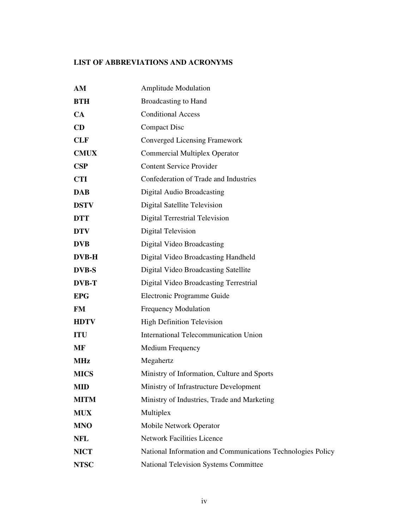# **LIST OF ABBREVIATIONS AND ACRONYMS**

| AM           | <b>Amplitude Modulation</b>                                 |
|--------------|-------------------------------------------------------------|
| <b>BTH</b>   | <b>Broadcasting to Hand</b>                                 |
| CA           | <b>Conditional Access</b>                                   |
| CD           | <b>Compact Disc</b>                                         |
| <b>CLF</b>   | Converged Licensing Framework                               |
| <b>CMUX</b>  | <b>Commercial Multiplex Operator</b>                        |
| CSP          | <b>Content Service Provider</b>                             |
| <b>CTI</b>   | Confederation of Trade and Industries                       |
| <b>DAB</b>   | <b>Digital Audio Broadcasting</b>                           |
| <b>DSTV</b>  | Digital Satellite Television                                |
| <b>DTT</b>   | <b>Digital Terrestrial Television</b>                       |
| <b>DTV</b>   | <b>Digital Television</b>                                   |
| <b>DVB</b>   | Digital Video Broadcasting                                  |
| <b>DVB-H</b> | Digital Video Broadcasting Handheld                         |
| <b>DVB-S</b> | Digital Video Broadcasting Satellite                        |
| <b>DVB-T</b> | Digital Video Broadcasting Terrestrial                      |
| <b>EPG</b>   | Electronic Programme Guide                                  |
| <b>FM</b>    | <b>Frequency Modulation</b>                                 |
| <b>HDTV</b>  | <b>High Definition Television</b>                           |
| <b>ITU</b>   | International Telecommunication Union                       |
| <b>MF</b>    | Medium Frequency                                            |
| <b>MHz</b>   | Megahertz                                                   |
| <b>MICS</b>  | Ministry of Information, Culture and Sports                 |
| <b>MID</b>   | Ministry of Infrastructure Development                      |
| <b>MITM</b>  | Ministry of Industries, Trade and Marketing                 |
| <b>MUX</b>   | Multiplex                                                   |
| <b>MNO</b>   | Mobile Network Operator                                     |
| <b>NFL</b>   | <b>Network Facilities Licence</b>                           |
| <b>NICT</b>  | National Information and Communications Technologies Policy |
| <b>NTSC</b>  | <b>National Television Systems Committee</b>                |
|              |                                                             |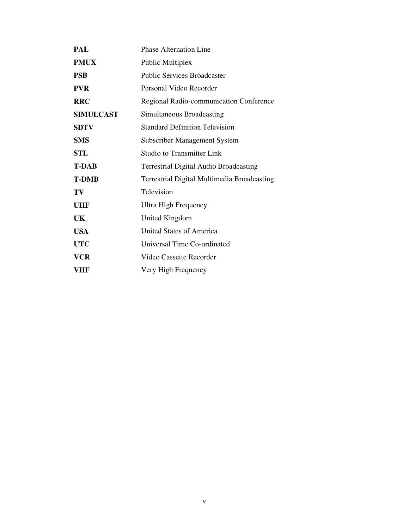| PAL              | <b>Phase Alternation Line</b>                 |
|------------------|-----------------------------------------------|
| <b>PMUX</b>      | Public Multiplex                              |
| <b>PSB</b>       | <b>Public Services Broadcaster</b>            |
| <b>PVR</b>       | Personal Video Recorder                       |
| <b>RRC</b>       | Regional Radio-communication Conference       |
| <b>SIMULCAST</b> | Simultaneous Broadcasting                     |
| <b>SDTV</b>      | <b>Standard Definition Television</b>         |
| <b>SMS</b>       | <b>Subscriber Management System</b>           |
| STL              | <b>Studio to Transmitter Link</b>             |
| <b>T-DAB</b>     | <b>Terrestrial Digital Audio Broadcasting</b> |
|                  |                                               |
| <b>T-DMB</b>     | Terrestrial Digital Multimedia Broadcasting   |
| TV               | Television                                    |
| UHF              | Ultra High Frequency                          |
| UK               | United Kingdom                                |
| <b>USA</b>       | <b>United States of America</b>               |
| <b>UTC</b>       | Universal Time Co-ordinated                   |
| <b>VCR</b>       | Video Cassette Recorder                       |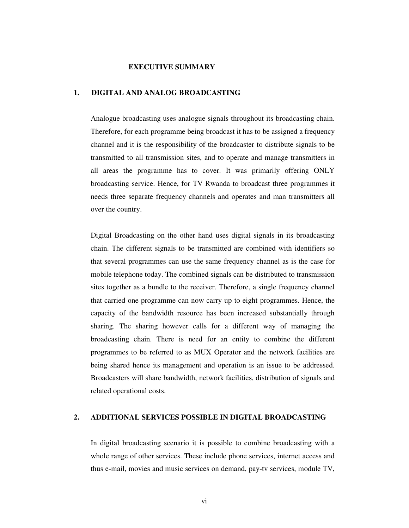#### **EXECUTIVE SUMMARY**

### **1. DIGITAL AND ANALOG BROADCASTING**

Analogue broadcasting uses analogue signals throughout its broadcasting chain. Therefore, for each programme being broadcast it has to be assigned a frequency channel and it is the responsibility of the broadcaster to distribute signals to be transmitted to all transmission sites, and to operate and manage transmitters in all areas the programme has to cover. It was primarily offering ONLY broadcasting service. Hence, for TV Rwanda to broadcast three programmes it needs three separate frequency channels and operates and man transmitters all over the country.

Digital Broadcasting on the other hand uses digital signals in its broadcasting chain. The different signals to be transmitted are combined with identifiers so that several programmes can use the same frequency channel as is the case for mobile telephone today. The combined signals can be distributed to transmission sites together as a bundle to the receiver. Therefore, a single frequency channel that carried one programme can now carry up to eight programmes. Hence, the capacity of the bandwidth resource has been increased substantially through sharing. The sharing however calls for a different way of managing the broadcasting chain. There is need for an entity to combine the different programmes to be referred to as MUX Operator and the network facilities are being shared hence its management and operation is an issue to be addressed. Broadcasters will share bandwidth, network facilities, distribution of signals and related operational costs.

#### **2. ADDITIONAL SERVICES POSSIBLE IN DIGITAL BROADCASTING**

 In digital broadcasting scenario it is possible to combine broadcasting with a whole range of other services. These include phone services, internet access and thus e-mail, movies and music services on demand, pay-tv services, module TV,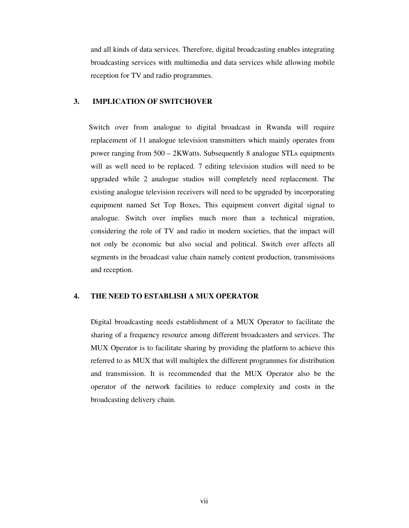and all kinds of data services. Therefore, digital broadcasting enables integrating broadcasting services with multimedia and data services while allowing mobile reception for TV and radio programmes.

## **3. IMPLICATION OF SWITCHOVER**

Switch over from analogue to digital broadcast in Rwanda will require replacement of 11 analogue television transmitters which mainly operates from power ranging from 500 – 2KWatts. Subsequently 8 analogue STLs equipments will as well need to be replaced. 7 editing television studios will need to be upgraded while 2 analogue studios will completely need replacement. The existing analogue television receivers will need to be upgraded by incorporating equipment named Set Top Boxes, This equipment convert digital signal to analogue. Switch over implies much more than a technical migration, considering the role of TV and radio in modern societies, that the impact will not only be economic but also social and political. Switch over affects all segments in the broadcast value chain namely content production, transmissions and reception.

#### **4. THE NEED TO ESTABLISH A MUX OPERATOR**

 Digital broadcasting needs establishment of a MUX Operator to facilitate the sharing of a frequency resource among different broadcasters and services. The MUX Operator is to facilitate sharing by providing the platform to achieve this referred to as MUX that will multiplex the different programmes for distribution and transmission. It is recommended that the MUX Operator also be the operator of the network facilities to reduce complexity and costs in the broadcasting delivery chain.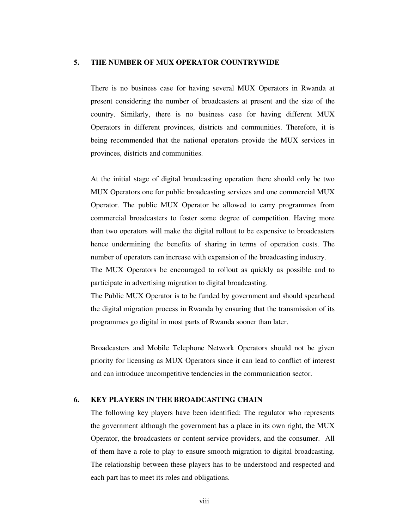## **5. THE NUMBER OF MUX OPERATOR COUNTRYWIDE**

 There is no business case for having several MUX Operators in Rwanda at present considering the number of broadcasters at present and the size of the country. Similarly, there is no business case for having different MUX Operators in different provinces, districts and communities. Therefore, it is being recommended that the national operators provide the MUX services in provinces, districts and communities.

 At the initial stage of digital broadcasting operation there should only be two MUX Operators one for public broadcasting services and one commercial MUX Operator. The public MUX Operator be allowed to carry programmes from commercial broadcasters to foster some degree of competition. Having more than two operators will make the digital rollout to be expensive to broadcasters hence undermining the benefits of sharing in terms of operation costs. The number of operators can increase with expansion of the broadcasting industry.

 The MUX Operators be encouraged to rollout as quickly as possible and to participate in advertising migration to digital broadcasting.

 The Public MUX Operator is to be funded by government and should spearhead the digital migration process in Rwanda by ensuring that the transmission of its programmes go digital in most parts of Rwanda sooner than later.

 Broadcasters and Mobile Telephone Network Operators should not be given priority for licensing as MUX Operators since it can lead to conflict of interest and can introduce uncompetitive tendencies in the communication sector.

## **6. KEY PLAYERS IN THE BROADCASTING CHAIN**

 The following key players have been identified: The regulator who represents the government although the government has a place in its own right, the MUX Operator, the broadcasters or content service providers, and the consumer. All of them have a role to play to ensure smooth migration to digital broadcasting. The relationship between these players has to be understood and respected and each part has to meet its roles and obligations.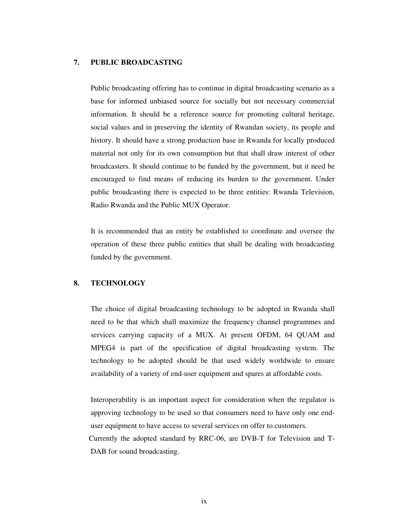# **7. PUBLIC BROADCASTING**

 Public broadcasting offering has to continue in digital broadcasting scenario as a base for informed unbiased source for socially but not necessary commercial information. It should be a reference source for promoting cultural heritage, social values and in preserving the identity of Rwandan society, its people and history. It should have a strong production base in Rwanda for locally produced material not only for its own consumption but that shall draw interest of other broadcasters. It should continue to be funded by the government, but it need be encouraged to find means of reducing its burden to the government. Under public broadcasting there is expected to be three entities: Rwanda Television, Radio Rwanda and the Public MUX Operator.

 It is recommended that an entity be established to coordinate and oversee the operation of these three public entities that shall be dealing with broadcasting funded by the government.

## **8. TECHNOLOGY**

 The choice of digital broadcasting technology to be adopted in Rwanda shall need to be that which shall maximize the frequency channel programmes and services carrying capacity of a MUX. At present OFDM, 64 QUAM and MPEG4 is part of the specification of digital broadcasting system. The technology to be adopted should be that used widely worldwide to ensure availability of a variety of end-user equipment and spares at affordable costs.

 Interoperability is an important aspect for consideration when the regulator is approving technology to be used so that consumers need to have only one enduser equipment to have access to several services on offer to customers. Currently the adopted standard by RRC-06, are DVB-T for Television and T-DAB for sound broadcasting.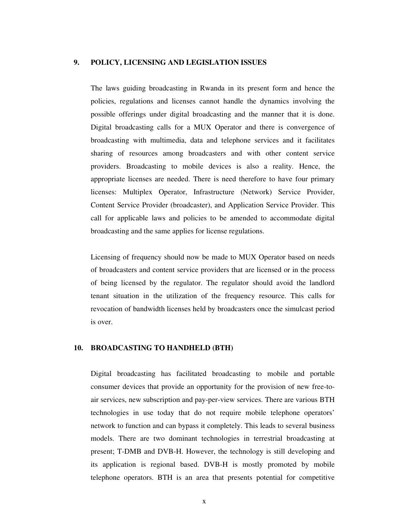## **9. POLICY, LICENSING AND LEGISLATION ISSUES**

 The laws guiding broadcasting in Rwanda in its present form and hence the policies, regulations and licenses cannot handle the dynamics involving the possible offerings under digital broadcasting and the manner that it is done. Digital broadcasting calls for a MUX Operator and there is convergence of broadcasting with multimedia, data and telephone services and it facilitates sharing of resources among broadcasters and with other content service providers. Broadcasting to mobile devices is also a reality. Hence, the appropriate licenses are needed. There is need therefore to have four primary licenses: Multiplex Operator, Infrastructure (Network) Service Provider, Content Service Provider (broadcaster), and Application Service Provider. This call for applicable laws and policies to be amended to accommodate digital broadcasting and the same applies for license regulations.

 Licensing of frequency should now be made to MUX Operator based on needs of broadcasters and content service providers that are licensed or in the process of being licensed by the regulator. The regulator should avoid the landlord tenant situation in the utilization of the frequency resource. This calls for revocation of bandwidth licenses held by broadcasters once the simulcast period is over.

#### **10. BROADCASTING TO HANDHELD (BTH)**

 Digital broadcasting has facilitated broadcasting to mobile and portable consumer devices that provide an opportunity for the provision of new free-toair services, new subscription and pay-per-view services. There are various BTH technologies in use today that do not require mobile telephone operators' network to function and can bypass it completely. This leads to several business models. There are two dominant technologies in terrestrial broadcasting at present; T-DMB and DVB-H. However, the technology is still developing and its application is regional based. DVB-H is mostly promoted by mobile telephone operators. BTH is an area that presents potential for competitive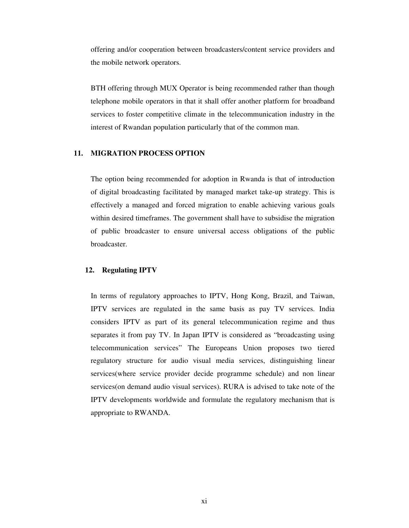offering and/or cooperation between broadcasters/content service providers and the mobile network operators.

 BTH offering through MUX Operator is being recommended rather than though telephone mobile operators in that it shall offer another platform for broadband services to foster competitive climate in the telecommunication industry in the interest of Rwandan population particularly that of the common man.

# **11. MIGRATION PROCESS OPTION**

 The option being recommended for adoption in Rwanda is that of introduction of digital broadcasting facilitated by managed market take-up strategy. This is effectively a managed and forced migration to enable achieving various goals within desired timeframes. The government shall have to subsidise the migration of public broadcaster to ensure universal access obligations of the public broadcaster.

#### **12. Regulating IPTV**

In terms of regulatory approaches to IPTV, Hong Kong, Brazil, and Taiwan, IPTV services are regulated in the same basis as pay TV services. India considers IPTV as part of its general telecommunication regime and thus separates it from pay TV. In Japan IPTV is considered as "broadcasting using telecommunication services" The Europeans Union proposes two tiered regulatory structure for audio visual media services, distinguishing linear services(where service provider decide programme schedule) and non linear services(on demand audio visual services). RURA is advised to take note of the IPTV developments worldwide and formulate the regulatory mechanism that is appropriate to RWANDA.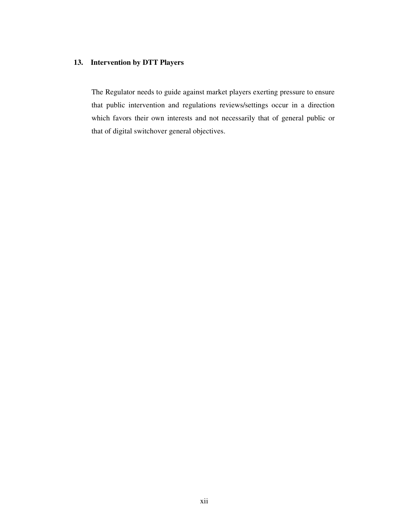# **13. Intervention by DTT Players**

The Regulator needs to guide against market players exerting pressure to ensure that public intervention and regulations reviews/settings occur in a direction which favors their own interests and not necessarily that of general public or that of digital switchover general objectives.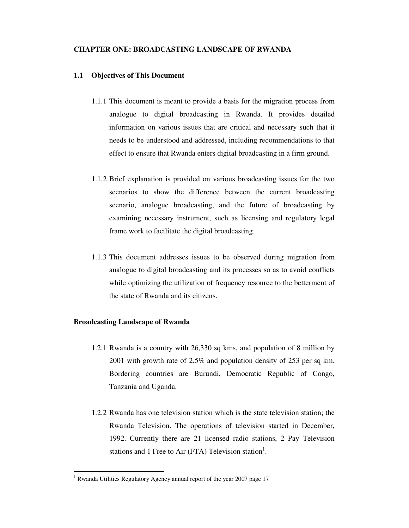### **CHAPTER ONE: BROADCASTING LANDSCAPE OF RWANDA**

#### **1.1 Objectives of This Document**

- 1.1.1 This document is meant to provide a basis for the migration process from analogue to digital broadcasting in Rwanda. It provides detailed information on various issues that are critical and necessary such that it needs to be understood and addressed, including recommendations to that effect to ensure that Rwanda enters digital broadcasting in a firm ground.
- 1.1.2 Brief explanation is provided on various broadcasting issues for the two scenarios to show the difference between the current broadcasting scenario, analogue broadcasting, and the future of broadcasting by examining necessary instrument, such as licensing and regulatory legal frame work to facilitate the digital broadcasting.
- 1.1.3 This document addresses issues to be observed during migration from analogue to digital broadcasting and its processes so as to avoid conflicts while optimizing the utilization of frequency resource to the betterment of the state of Rwanda and its citizens.

#### **Broadcasting Landscape of Rwanda**

- 1.2.1 Rwanda is a country with 26,330 sq kms, and population of 8 million by 2001 with growth rate of 2.5% and population density of 253 per sq km. Bordering countries are Burundi, Democratic Republic of Congo, Tanzania and Uganda.
- 1.2.2 Rwanda has one television station which is the state television station; the Rwanda Television. The operations of television started in December, 1992. Currently there are 21 licensed radio stations, 2 Pay Television stations and 1 Free to Air (FTA) Television station<sup>1</sup>.

<sup>&</sup>lt;sup>1</sup> Rwanda Utilities Regulatory Agency annual report of the year 2007 page 17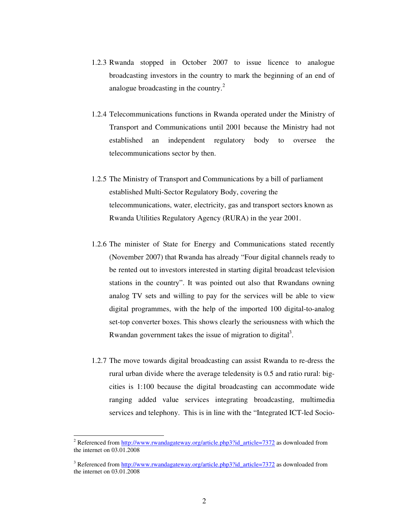- 1.2.3 Rwanda stopped in October 2007 to issue licence to analogue broadcasting investors in the country to mark the beginning of an end of analogue broadcasting in the country.<sup>2</sup>
- 1.2.4 Telecommunications functions in Rwanda operated under the Ministry of Transport and Communications until 2001 because the Ministry had not established an independent regulatory body to oversee the telecommunications sector by then.
- 1.2.5 The Ministry of Transport and Communications by a bill of parliament established Multi-Sector Regulatory Body, covering the telecommunications, water, electricity, gas and transport sectors known as Rwanda Utilities Regulatory Agency (RURA) in the year 2001.
- 1.2.6 The minister of State for Energy and Communications stated recently (November 2007) that Rwanda has already "Four digital channels ready to be rented out to investors interested in starting digital broadcast television stations in the country". It was pointed out also that Rwandans owning analog TV sets and willing to pay for the services will be able to view digital programmes, with the help of the imported 100 digital-to-analog set-top converter boxes. This shows clearly the seriousness with which the Rwandan government takes the issue of migration to digital<sup>3</sup>.
- 1.2.7 The move towards digital broadcasting can assist Rwanda to re-dress the rural urban divide where the average teledensity is 0.5 and ratio rural: bigcities is 1:100 because the digital broadcasting can accommodate wide ranging added value services integrating broadcasting, multimedia services and telephony. This is in line with the "Integrated ICT-led Socio-

<sup>&</sup>lt;sup>2</sup> Referenced from http://www.rwandagateway.org/article.php3?id\_article=7372 as downloaded from the internet on 03.01.2008

<sup>&</sup>lt;sup>3</sup> Referenced from http://www.rwandagateway.org/article.php3?id\_article=7372 as downloaded from the internet on 03.01.2008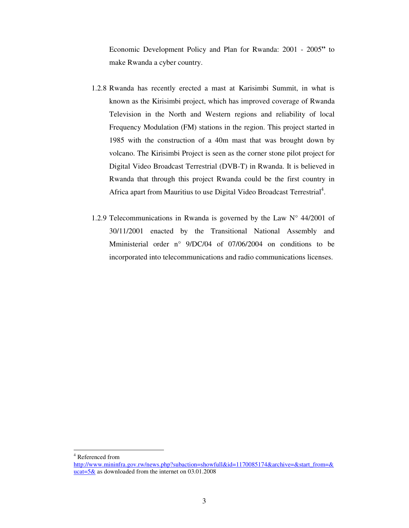Economic Development Policy and Plan for Rwanda: 2001 - 2005**"** to make Rwanda a cyber country.

- 1.2.8 Rwanda has recently erected a mast at Karisimbi Summit, in what is known as the Kirisimbi project, which has improved coverage of Rwanda Television in the North and Western regions and reliability of local Frequency Modulation (FM) stations in the region. This project started in 1985 with the construction of a 40m mast that was brought down by volcano. The Kirisimbi Project is seen as the corner stone pilot project for Digital Video Broadcast Terrestrial (DVB-T) in Rwanda. It is believed in Rwanda that through this project Rwanda could be the first country in Africa apart from Mauritius to use Digital Video Broadcast Terrestrial<sup>4</sup>.
- 1.2.9 Telecommunications in Rwanda is governed by the Law  $N^{\circ}$  44/2001 of 30/11/2001 enacted by the Transitional National Assembly and Mministerial order n° 9/DC/04 of 07/06/2004 on conditions to be incorporated into telecommunications and radio communications licenses.

4 Referenced from

http://www.mininfra.gov.rw/news.php?subaction=showfull&id=1170085174&archive=&start\_from=& ucat= $5\&$  as downloaded from the internet on 03.01.2008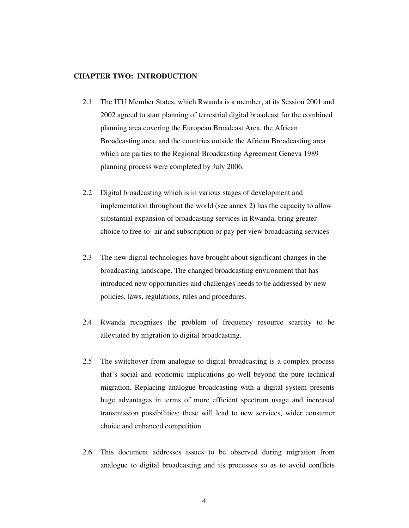#### **CHAPTER TWO: INTRODUCTION**

- 2.1 The ITU Member States, which Rwanda is a member, at its Session 2001 and 2002 agreed to start planning of terrestrial digital broadcast for the combined planning area covering the European Broadcast Area, the African Broadcasting area, and the countries outside the African Broadcasting area which are parties to the Regional Broadcasting Agreement Geneva 1989 planning process were completed by July 2006.
- 2.2 Digital broadcasting which is in various stages of development and implementation throughout the world (see annex 2) has the capacity to allow substantial expansion of broadcasting services in Rwanda, bring greater choice to free-to- air and subscription or pay per view broadcasting services.
- 2.3 The new digital technologies have brought about significant changes in the broadcasting landscape. The changed broadcasting environment that has introduced new opportunities and challenges needs to be addressed by new policies, laws, regulations, rules and procedures.
- 2.4 Rwanda recognizes the problem of frequency resource scarcity to be alleviated by migration to digital broadcasting.
- 2.5 The switchover from analogue to digital broadcasting is a complex process that's social and economic implications go well beyond the pure technical migration. Replacing analogue broadcasting with a digital system presents huge advantages in terms of more efficient spectrum usage and increased transmission possibilities; these will lead to new services, wider consumer choice and enhanced competition.
- 2.6 This document addresses issues to be observed during migration from analogue to digital broadcasting and its processes so as to avoid conflicts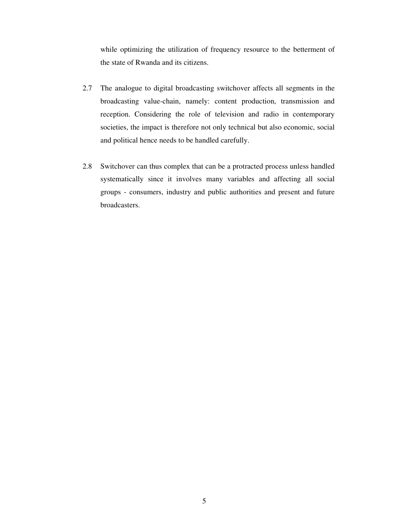while optimizing the utilization of frequency resource to the betterment of the state of Rwanda and its citizens.

- 2.7 The analogue to digital broadcasting switchover affects all segments in the broadcasting value-chain, namely: content production, transmission and reception. Considering the role of television and radio in contemporary societies, the impact is therefore not only technical but also economic, social and political hence needs to be handled carefully.
- 2.8 Switchover can thus complex that can be a protracted process unless handled systematically since it involves many variables and affecting all social groups - consumers, industry and public authorities and present and future broadcasters.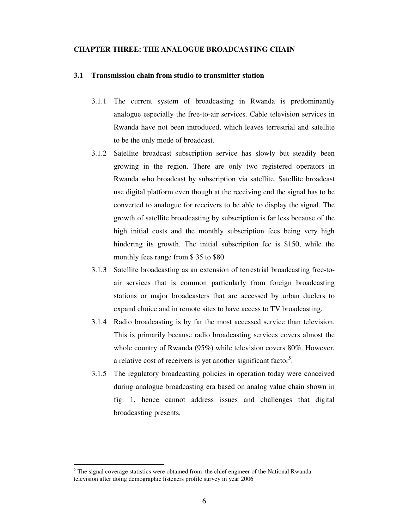#### **CHAPTER THREE: THE ANALOGUE BROADCASTING CHAIN**

#### **3.1 Transmission chain from studio to transmitter station**

- 3.1.1 The current system of broadcasting in Rwanda is predominantly analogue especially the free-to-air services. Cable television services in Rwanda have not been introduced, which leaves terrestrial and satellite to be the only mode of broadcast.
- 3.1.2 Satellite broadcast subscription service has slowly but steadily been growing in the region. There are only two registered operators in Rwanda who broadcast by subscription via satellite. Satellite broadcast use digital platform even though at the receiving end the signal has to be converted to analogue for receivers to be able to display the signal. The growth of satellite broadcasting by subscription is far less because of the high initial costs and the monthly subscription fees being very high hindering its growth. The initial subscription fee is \$150, while the monthly fees range from \$ 35 to \$80
- 3.1.3 Satellite broadcasting as an extension of terrestrial broadcasting free-toair services that is common particularly from foreign broadcasting stations or major broadcasters that are accessed by urban duelers to expand choice and in remote sites to have access to TV broadcasting.
- 3.1.4 Radio broadcasting is by far the most accessed service than television. This is primarily because radio broadcasting services covers almost the whole country of Rwanda (95%) while television covers 80%. However, a relative cost of receivers is yet another significant factor<sup>5</sup>.
- 3.1.5 The regulatory broadcasting policies in operation today were conceived during analogue broadcasting era based on analog value chain shown in fig. 1, hence cannot address issues and challenges that digital broadcasting presents.

 $<sup>5</sup>$  The signal coverage statistics were obtained from the chief engineer of the National Rwanda</sup> television after doing demographic listeners profile survey in year 2006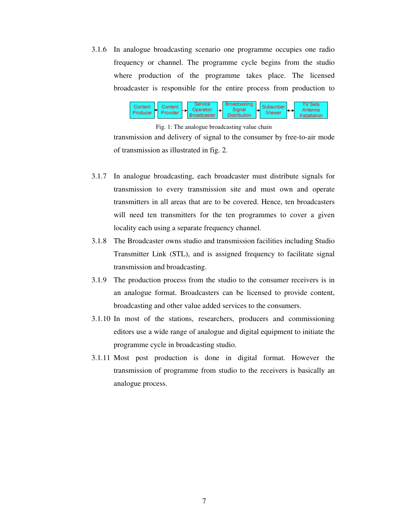3.1.6 In analogue broadcasting scenario one programme occupies one radio frequency or channel. The programme cycle begins from the studio where production of the programme takes place. The licensed broadcaster is responsible for the entire process from production to



Fig. 1: The analogue broadcasting value chain

transmission and delivery of signal to the consumer by free-to-air mode of transmission as illustrated in fig. 2.

- 3.1.7 In analogue broadcasting, each broadcaster must distribute signals for transmission to every transmission site and must own and operate transmitters in all areas that are to be covered. Hence, ten broadcasters will need ten transmitters for the ten programmes to cover a given locality each using a separate frequency channel.
- 3.1.8 The Broadcaster owns studio and transmission facilities including Studio Transmitter Link (STL), and is assigned frequency to facilitate signal transmission and broadcasting.
- 3.1.9 The production process from the studio to the consumer receivers is in an analogue format. Broadcasters can be licensed to provide content, broadcasting and other value added services to the consumers.
- 3.1.10 In most of the stations, researchers, producers and commissioning editors use a wide range of analogue and digital equipment to initiate the programme cycle in broadcasting studio.
- 3.1.11 Most post production is done in digital format. However the transmission of programme from studio to the receivers is basically an analogue process.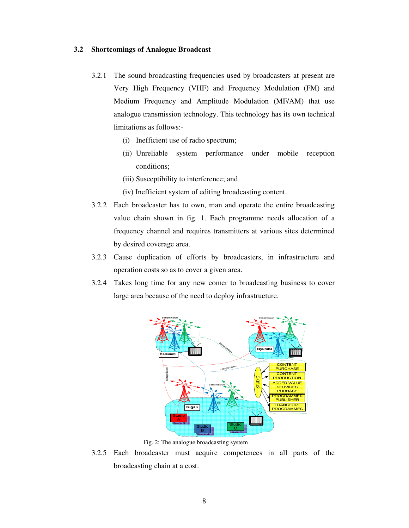#### **3.2 Shortcomings of Analogue Broadcast**

- 3.2.1 The sound broadcasting frequencies used by broadcasters at present are Very High Frequency (VHF) and Frequency Modulation (FM) and Medium Frequency and Amplitude Modulation (MF/AM) that use analogue transmission technology. This technology has its own technical limitations as follows:-
	- (i) Inefficient use of radio spectrum;
	- (ii) Unreliable system performance under mobile reception conditions;
	- (iii) Susceptibility to interference; and
	- (iv) Inefficient system of editing broadcasting content.
- 3.2.2 Each broadcaster has to own, man and operate the entire broadcasting value chain shown in fig. 1. Each programme needs allocation of a frequency channel and requires transmitters at various sites determined by desired coverage area.
- 3.2.3 Cause duplication of efforts by broadcasters, in infrastructure and operation costs so as to cover a given area.
- 3.2.4 Takes long time for any new comer to broadcasting business to cover large area because of the need to deploy infrastructure.



Fig. 2: The analogue broadcasting system

3.2.5 Each broadcaster must acquire competences in all parts of the broadcasting chain at a cost.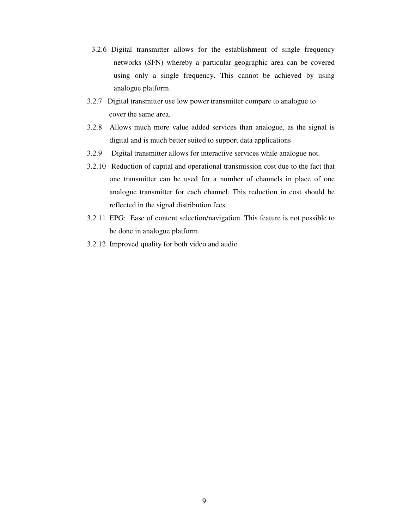- 3.2.6 Digital transmitter allows for the establishment of single frequency networks (SFN) whereby a particular geographic area can be covered using only a single frequency. This cannot be achieved by using analogue platform
- 3.2.7 Digital transmitter use low power transmitter compare to analogue to cover the same area.
- 3.2.8 Allows much more value added services than analogue, as the signal is digital and is much better suited to support data applications
- 3.2.9 Digital transmitter allows for interactive services while analogue not.
- 3.2.10 Reduction of capital and operational transmission cost due to the fact that one transmitter can be used for a number of channels in place of one analogue transmitter for each channel. This reduction in cost should be reflected in the signal distribution fees
- 3.2.11 EPG: Ease of content selection/navigation. This feature is not possible to be done in analogue platform.
- 3.2.12 Improved quality for both video and audio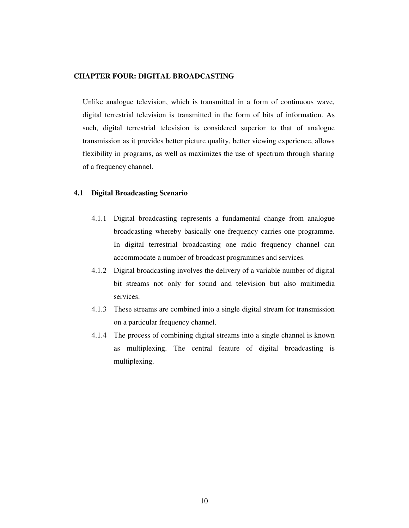#### **CHAPTER FOUR: DIGITAL BROADCASTING**

Unlike analogue television, which is transmitted in a form of continuous wave, digital terrestrial television is transmitted in the form of bits of information. As such, digital terrestrial television is considered superior to that of analogue transmission as it provides better picture quality, better viewing experience, allows flexibility in programs, as well as maximizes the use of spectrum through sharing of a frequency channel.

#### **4.1 Digital Broadcasting Scenario**

- 4.1.1 Digital broadcasting represents a fundamental change from analogue broadcasting whereby basically one frequency carries one programme. In digital terrestrial broadcasting one radio frequency channel can accommodate a number of broadcast programmes and services.
- 4.1.2 Digital broadcasting involves the delivery of a variable number of digital bit streams not only for sound and television but also multimedia services.
- 4.1.3 These streams are combined into a single digital stream for transmission on a particular frequency channel.
- 4.1.4 The process of combining digital streams into a single channel is known as multiplexing. The central feature of digital broadcasting is multiplexing.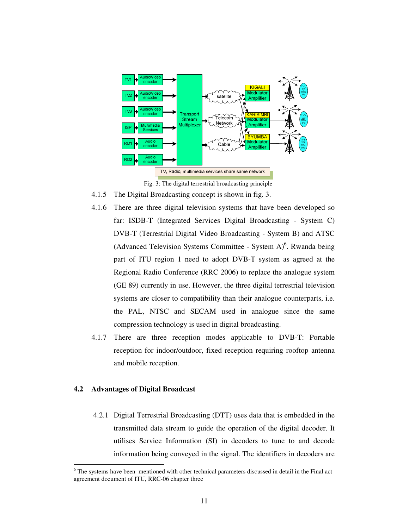

Fig. 3: The digital terrestrial broadcasting principle

- 4.1.5 The Digital Broadcasting concept is shown in fig. 3.
- 4.1.6 There are three digital television systems that have been developed so far: ISDB-T (Integrated Services Digital Broadcasting - System C) DVB-T (Terrestrial Digital Video Broadcasting - System B) and ATSC (Advanced Television Systems Committee - System  $A$ <sup>6</sup>. Rwanda being part of ITU region 1 need to adopt DVB-T system as agreed at the Regional Radio Conference (RRC 2006) to replace the analogue system (GE 89) currently in use. However, the three digital terrestrial television systems are closer to compatibility than their analogue counterparts, i.e. the PAL, NTSC and SECAM used in analogue since the same compression technology is used in digital broadcasting.
- 4.1.7 There are three reception modes applicable to DVB-T: Portable reception for indoor/outdoor, fixed reception requiring rooftop antenna and mobile reception.

# **4.2 Advantages of Digital Broadcast**

 $\overline{a}$ 

 4.2.1 Digital Terrestrial Broadcasting (DTT) uses data that is embedded in the transmitted data stream to guide the operation of the digital decoder. It utilises Service Information (SI) in decoders to tune to and decode information being conveyed in the signal. The identifiers in decoders are

<sup>&</sup>lt;sup>6</sup> The systems have been mentioned with other technical parameters discussed in detail in the Final act agreement document of ITU, RRC-06 chapter three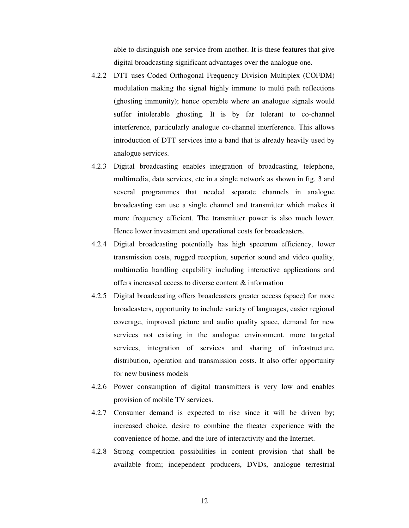able to distinguish one service from another. It is these features that give digital broadcasting significant advantages over the analogue one.

- 4.2.2 DTT uses Coded Orthogonal Frequency Division Multiplex (COFDM) modulation making the signal highly immune to multi path reflections (ghosting immunity); hence operable where an analogue signals would suffer intolerable ghosting. It is by far tolerant to co-channel interference, particularly analogue co-channel interference. This allows introduction of DTT services into a band that is already heavily used by analogue services.
- 4.2.3 Digital broadcasting enables integration of broadcasting, telephone, multimedia, data services, etc in a single network as shown in fig. 3 and several programmes that needed separate channels in analogue broadcasting can use a single channel and transmitter which makes it more frequency efficient. The transmitter power is also much lower. Hence lower investment and operational costs for broadcasters.
- 4.2.4 Digital broadcasting potentially has high spectrum efficiency, lower transmission costs, rugged reception, superior sound and video quality, multimedia handling capability including interactive applications and offers increased access to diverse content & information
- 4.2.5 Digital broadcasting offers broadcasters greater access (space) for more broadcasters, opportunity to include variety of languages, easier regional coverage, improved picture and audio quality space, demand for new services not existing in the analogue environment, more targeted services, integration of services and sharing of infrastructure, distribution, operation and transmission costs. It also offer opportunity for new business models
- 4.2.6 Power consumption of digital transmitters is very low and enables provision of mobile TV services.
- 4.2.7 Consumer demand is expected to rise since it will be driven by; increased choice, desire to combine the theater experience with the convenience of home, and the lure of interactivity and the Internet.
- 4.2.8 Strong competition possibilities in content provision that shall be available from; independent producers, DVDs, analogue terrestrial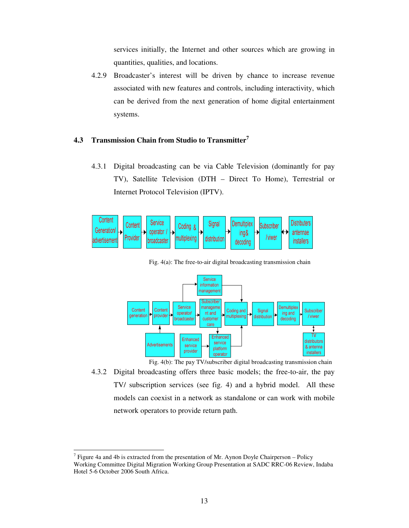services initially, the Internet and other sources which are growing in quantities, qualities, and locations.

4.2.9 Broadcaster's interest will be driven by chance to increase revenue associated with new features and controls, including interactivity, which can be derived from the next generation of home digital entertainment systems.

# **4.3 Transmission Chain from Studio to Transmitter<sup>7</sup>**

4.3.1 Digital broadcasting can be via Cable Television (dominantly for pay TV), Satellite Television (DTH – Direct To Home), Terrestrial or Internet Protocol Television (IPTV).



Service information nanagement Subscribe manageme **Demultiplex** Service Content Coding and Content Subscriber Signal operator/ nt and ing and deneration provide multiplexing distributio / viwer customer decoding roadcaste care Î ī۷ Enhancer Enhanced distributors service Advertisements service & antenna platform provider installers operator

Fig. 4(a): The free-to-air digital broadcasting transmission chain

Fig. 4(b): The pay TV/subscriber digital broadcasting transmission chain

4.3.2 Digital broadcasting offers three basic models; the free-to-air, the pay TV/ subscription services (see fig. 4) and a hybrid model. All these models can coexist in a network as standalone or can work with mobile network operators to provide return path.

<sup>&</sup>lt;sup>7</sup> Figure 4a and 4b is extracted from the presentation of Mr. Aynon Doyle Chairperson – Policy Working Committee Digital Migration Working Group Presentation at SADC RRC-06 Review, Indaba Hotel 5-6 October 2006 South Africa.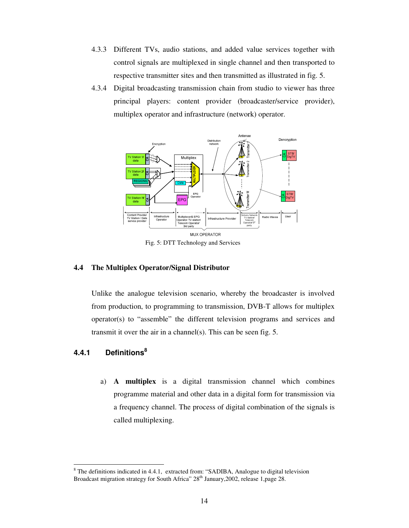- 4.3.3 Different TVs, audio stations, and added value services together with control signals are multiplexed in single channel and then transported to respective transmitter sites and then transmitted as illustrated in fig. 5.
- 4.3.4 Digital broadcasting transmission chain from studio to viewer has three principal players: content provider (broadcaster/service provider), multiplex operator and infrastructure (network) operator.



Fig. 5: DTT Technology and Services

# **4.4 The Multiplex Operator/Signal Distributor**

Unlike the analogue television scenario, whereby the broadcaster is involved from production, to programming to transmission, DVB-T allows for multiplex operator(s) to "assemble" the different television programs and services and transmit it over the air in a channel(s). This can be seen fig. 5.

# **4.4.1 Definitions<sup>8</sup>**

 $\overline{a}$ 

a) **A multiplex** is a digital transmission channel which combines programme material and other data in a digital form for transmission via a frequency channel. The process of digital combination of the signals is called multiplexing.

 $8$  The definitions indicated in 4.4.1, extracted from: "SADIBA, Analogue to digital television Broadcast migration strategy for South Africa"  $28<sup>th</sup>$  January, 2002, release 1, page 28.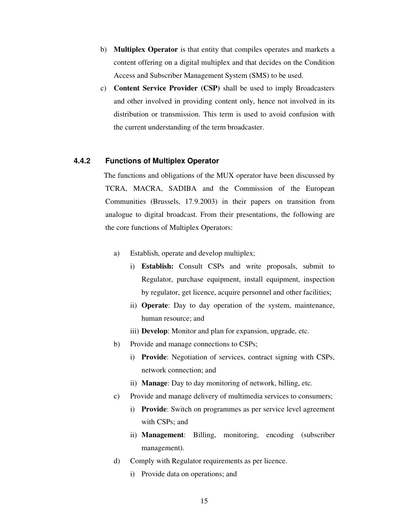- b) **Multiplex Operator** is that entity that compiles operates and markets a content offering on a digital multiplex and that decides on the Condition Access and Subscriber Management System (SMS) to be used.
- c) **Content Service Provider (CSP)** shall be used to imply Broadcasters and other involved in providing content only, hence not involved in its distribution or transmission. This term is used to avoid confusion with the current understanding of the term broadcaster.

## **4.4.2 Functions of Multiplex Operator**

The functions and obligations of the MUX operator have been discussed by TCRA, MACRA, SADIBA and the Commission of the European Communities (Brussels, 17.9.2003) in their papers on transition from analogue to digital broadcast. From their presentations, the following are the core functions of Multiplex Operators:

- a) Establish, operate and develop multiplex;
	- i) **Establish:** Consult CSPs and write proposals, submit to Regulator, purchase equipment, install equipment, inspection by regulator, get licence, acquire personnel and other facilities;
	- ii) **Operate**: Day to day operation of the system, maintenance, human resource; and
	- iii) **Develop**: Monitor and plan for expansion, upgrade, etc.
- b) Provide and manage connections to CSPs;
	- i) **Provide**: Negotiation of services, contract signing with CSPs, network connection; and
	- ii) **Manage**: Day to day monitoring of network, billing, etc.
- c) Provide and manage delivery of multimedia services to consumers;
	- i) **Provide**: Switch on programmes as per service level agreement with CSPs; and
	- ii) **Management**: Billing, monitoring, encoding (subscriber management).
- d) Comply with Regulator requirements as per licence.
	- i) Provide data on operations; and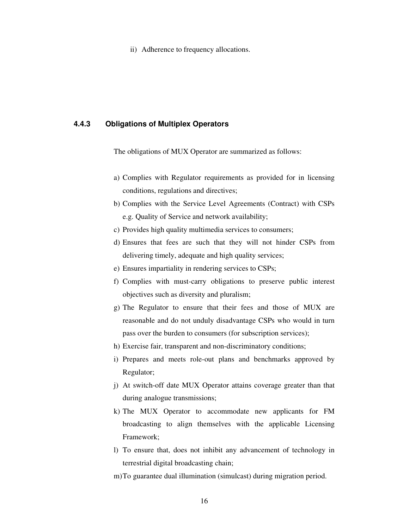ii) Adherence to frequency allocations.

# **4.4.3 Obligations of Multiplex Operators**

The obligations of MUX Operator are summarized as follows:

- a) Complies with Regulator requirements as provided for in licensing conditions, regulations and directives;
- b) Complies with the Service Level Agreements (Contract) with CSPs e.g. Quality of Service and network availability;
- c) Provides high quality multimedia services to consumers;
- d) Ensures that fees are such that they will not hinder CSPs from delivering timely, adequate and high quality services;
- e) Ensures impartiality in rendering services to CSPs;
- f) Complies with must-carry obligations to preserve public interest objectives such as diversity and pluralism;
- g) The Regulator to ensure that their fees and those of MUX are reasonable and do not unduly disadvantage CSPs who would in turn pass over the burden to consumers (for subscription services);
- h) Exercise fair, transparent and non-discriminatory conditions;
- i) Prepares and meets role-out plans and benchmarks approved by Regulator;
- j) At switch-off date MUX Operator attains coverage greater than that during analogue transmissions;
- k) The MUX Operator to accommodate new applicants for FM broadcasting to align themselves with the applicable Licensing Framework;
- l) To ensure that, does not inhibit any advancement of technology in terrestrial digital broadcasting chain;
- m)To guarantee dual illumination (simulcast) during migration period.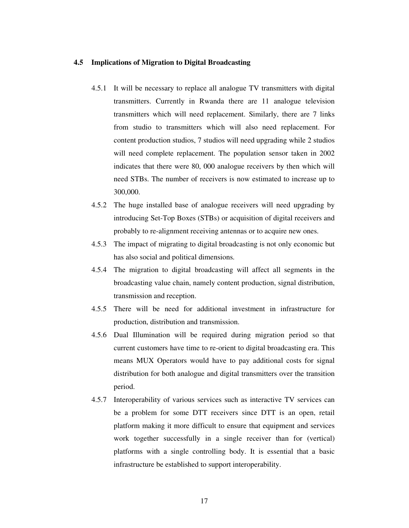## **4.5 Implications of Migration to Digital Broadcasting**

- 4.5.1 It will be necessary to replace all analogue TV transmitters with digital transmitters. Currently in Rwanda there are 11 analogue television transmitters which will need replacement. Similarly, there are 7 links from studio to transmitters which will also need replacement. For content production studios, 7 studios will need upgrading while 2 studios will need complete replacement. The population sensor taken in 2002 indicates that there were 80, 000 analogue receivers by then which will need STBs. The number of receivers is now estimated to increase up to 300,000.
- 4.5.2 The huge installed base of analogue receivers will need upgrading by introducing Set-Top Boxes (STBs) or acquisition of digital receivers and probably to re-alignment receiving antennas or to acquire new ones.
- 4.5.3 The impact of migrating to digital broadcasting is not only economic but has also social and political dimensions.
- 4.5.4 The migration to digital broadcasting will affect all segments in the broadcasting value chain, namely content production, signal distribution, transmission and reception.
- 4.5.5 There will be need for additional investment in infrastructure for production, distribution and transmission.
- 4.5.6 Dual Illumination will be required during migration period so that current customers have time to re-orient to digital broadcasting era. This means MUX Operators would have to pay additional costs for signal distribution for both analogue and digital transmitters over the transition period.
- 4.5.7 Interoperability of various services such as interactive TV services can be a problem for some DTT receivers since DTT is an open, retail platform making it more difficult to ensure that equipment and services work together successfully in a single receiver than for (vertical) platforms with a single controlling body. It is essential that a basic infrastructure be established to support interoperability.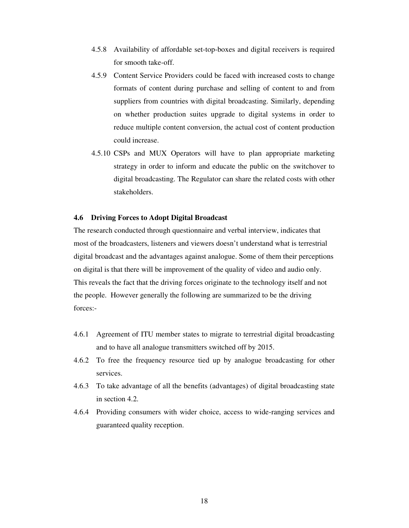- 4.5.8 Availability of affordable set-top-boxes and digital receivers is required for smooth take-off.
- 4.5.9 Content Service Providers could be faced with increased costs to change formats of content during purchase and selling of content to and from suppliers from countries with digital broadcasting. Similarly, depending on whether production suites upgrade to digital systems in order to reduce multiple content conversion, the actual cost of content production could increase.
- 4.5.10 CSPs and MUX Operators will have to plan appropriate marketing strategy in order to inform and educate the public on the switchover to digital broadcasting. The Regulator can share the related costs with other stakeholders.

### **4.6 Driving Forces to Adopt Digital Broadcast**

The research conducted through questionnaire and verbal interview, indicates that most of the broadcasters, listeners and viewers doesn't understand what is terrestrial digital broadcast and the advantages against analogue. Some of them their perceptions on digital is that there will be improvement of the quality of video and audio only. This reveals the fact that the driving forces originate to the technology itself and not the people. However generally the following are summarized to be the driving forces:-

- 4.6.1 Agreement of ITU member states to migrate to terrestrial digital broadcasting and to have all analogue transmitters switched off by 2015.
- 4.6.2 To free the frequency resource tied up by analogue broadcasting for other services.
- 4.6.3 To take advantage of all the benefits (advantages) of digital broadcasting state in section 4.2.
- 4.6.4 Providing consumers with wider choice, access to wide-ranging services and guaranteed quality reception.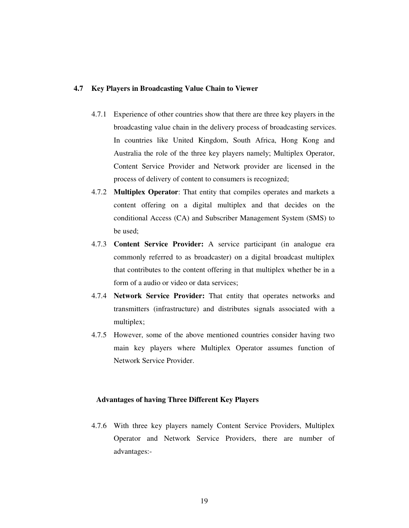## **4.7 Key Players in Broadcasting Value Chain to Viewer**

- 4.7.1 Experience of other countries show that there are three key players in the broadcasting value chain in the delivery process of broadcasting services. In countries like United Kingdom, South Africa, Hong Kong and Australia the role of the three key players namely; Multiplex Operator, Content Service Provider and Network provider are licensed in the process of delivery of content to consumers is recognized;
- 4.7.2 **Multiplex Operator**: That entity that compiles operates and markets a content offering on a digital multiplex and that decides on the conditional Access (CA) and Subscriber Management System (SMS) to be used;
- 4.7.3 **Content Service Provider:** A service participant (in analogue era commonly referred to as broadcaster) on a digital broadcast multiplex that contributes to the content offering in that multiplex whether be in a form of a audio or video or data services;
- 4.7.4 **Network Service Provider:** That entity that operates networks and transmitters (infrastructure) and distributes signals associated with a multiplex;
- 4.7.5 However, some of the above mentioned countries consider having two main key players where Multiplex Operator assumes function of Network Service Provider.

## **Advantages of having Three Different Key Players**

4.7.6 With three key players namely Content Service Providers, Multiplex Operator and Network Service Providers, there are number of advantages:-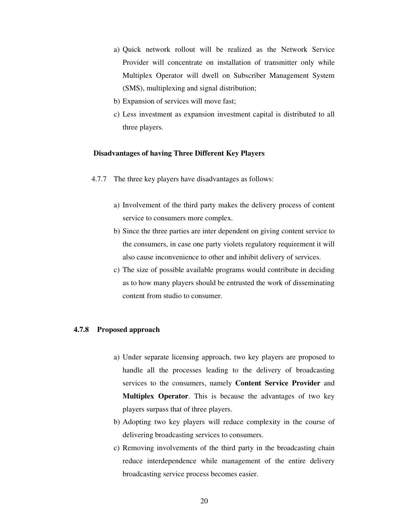- a) Quick network rollout will be realized as the Network Service Provider will concentrate on installation of transmitter only while Multiplex Operator will dwell on Subscriber Management System (SMS), multiplexing and signal distribution;
- b) Expansion of services will move fast;
- c) Less investment as expansion investment capital is distributed to all three players.

## **Disadvantages of having Three Different Key Players**

- 4.7.7 The three key players have disadvantages as follows:
	- a) Involvement of the third party makes the delivery process of content service to consumers more complex.
	- b) Since the three parties are inter dependent on giving content service to the consumers, in case one party violets regulatory requirement it will also cause inconvenience to other and inhibit delivery of services.
	- c) The size of possible available programs would contribute in deciding as to how many players should be entrusted the work of disseminating content from studio to consumer.

#### **4.7.8 Proposed approach**

- a) Under separate licensing approach, two key players are proposed to handle all the processes leading to the delivery of broadcasting services to the consumers, namely **Content Service Provider** and **Multiplex Operator**. This is because the advantages of two key players surpass that of three players.
- b) Adopting two key players will reduce complexity in the course of delivering broadcasting services to consumers.
- c) Removing involvements of the third party in the broadcasting chain reduce interdependence while management of the entire delivery broadcasting service process becomes easier.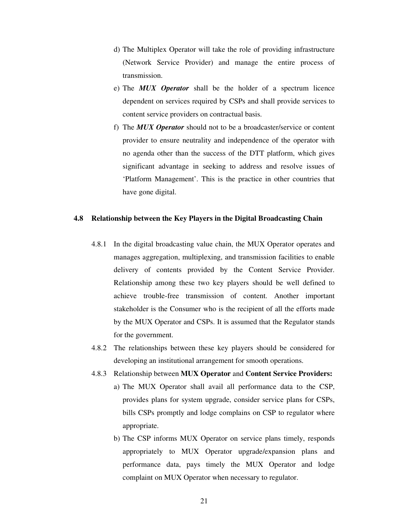- d) The Multiplex Operator will take the role of providing infrastructure (Network Service Provider) and manage the entire process of transmission.
- e) The *MUX Operator* shall be the holder of a spectrum licence dependent on services required by CSPs and shall provide services to content service providers on contractual basis.
- f) The *MUX Operator* should not to be a broadcaster/service or content provider to ensure neutrality and independence of the operator with no agenda other than the success of the DTT platform, which gives significant advantage in seeking to address and resolve issues of 'Platform Management'. This is the practice in other countries that have gone digital.

#### **4.8 Relationship between the Key Players in the Digital Broadcasting Chain**

- 4.8.1 In the digital broadcasting value chain, the MUX Operator operates and manages aggregation, multiplexing, and transmission facilities to enable delivery of contents provided by the Content Service Provider. Relationship among these two key players should be well defined to achieve trouble-free transmission of content. Another important stakeholder is the Consumer who is the recipient of all the efforts made by the MUX Operator and CSPs. It is assumed that the Regulator stands for the government.
- 4.8.2 The relationships between these key players should be considered for developing an institutional arrangement for smooth operations.
- 4.8.3 Relationship between **MUX Operator** and **Content Service Providers:**
	- a) The MUX Operator shall avail all performance data to the CSP, provides plans for system upgrade, consider service plans for CSPs, bills CSPs promptly and lodge complains on CSP to regulator where appropriate.
	- b) The CSP informs MUX Operator on service plans timely, responds appropriately to MUX Operator upgrade/expansion plans and performance data, pays timely the MUX Operator and lodge complaint on MUX Operator when necessary to regulator.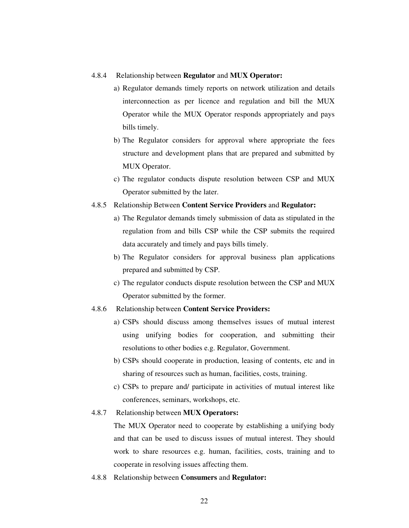#### 4.8.4 Relationship between **Regulator** and **MUX Operator:**

- a) Regulator demands timely reports on network utilization and details interconnection as per licence and regulation and bill the MUX Operator while the MUX Operator responds appropriately and pays bills timely.
- b) The Regulator considers for approval where appropriate the fees structure and development plans that are prepared and submitted by MUX Operator.
- c) The regulator conducts dispute resolution between CSP and MUX Operator submitted by the later.

## 4.8.5 Relationship Between **Content Service Providers** and **Regulator:**

- a) The Regulator demands timely submission of data as stipulated in the regulation from and bills CSP while the CSP submits the required data accurately and timely and pays bills timely.
- b) The Regulator considers for approval business plan applications prepared and submitted by CSP.
- c) The regulator conducts dispute resolution between the CSP and MUX Operator submitted by the former.

#### 4.8.6 Relationship between **Content Service Providers:**

- a) CSPs should discuss among themselves issues of mutual interest using unifying bodies for cooperation, and submitting their resolutions to other bodies e.g. Regulator, Government.
- b) CSPs should cooperate in production, leasing of contents, etc and in sharing of resources such as human, facilities, costs, training.
- c) CSPs to prepare and/ participate in activities of mutual interest like conferences, seminars, workshops, etc.

#### 4.8.7 Relationship between **MUX Operators:**

The MUX Operator need to cooperate by establishing a unifying body and that can be used to discuss issues of mutual interest. They should work to share resources e.g. human, facilities, costs, training and to cooperate in resolving issues affecting them.

4.8.8 Relationship between **Consumers** and **Regulator:**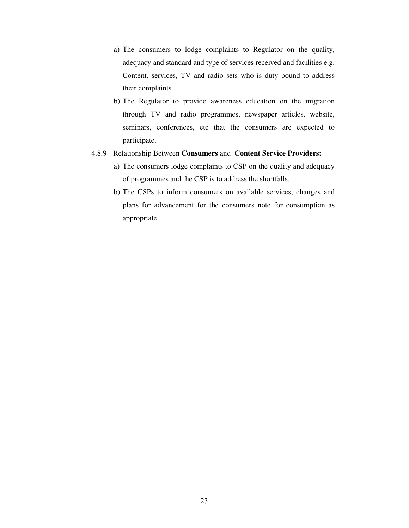- a) The consumers to lodge complaints to Regulator on the quality, adequacy and standard and type of services received and facilities e.g. Content, services, TV and radio sets who is duty bound to address their complaints.
- b) The Regulator to provide awareness education on the migration through TV and radio programmes, newspaper articles, website, seminars, conferences, etc that the consumers are expected to participate.

#### 4.8.9 Relationship Between **Consumers** and **Content Service Providers:**

- a) The consumers lodge complaints to CSP on the quality and adequacy of programmes and the CSP is to address the shortfalls.
- b) The CSPs to inform consumers on available services, changes and plans for advancement for the consumers note for consumption as appropriate.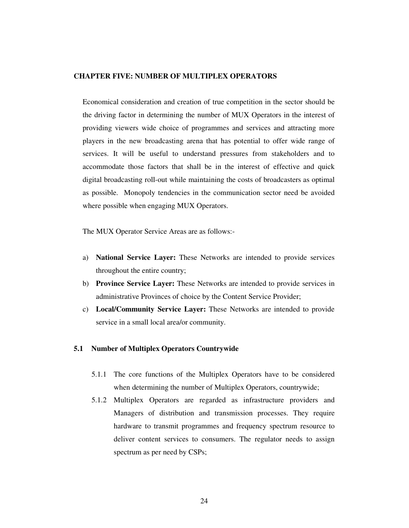#### **CHAPTER FIVE: NUMBER OF MULTIPLEX OPERATORS**

Economical consideration and creation of true competition in the sector should be the driving factor in determining the number of MUX Operators in the interest of providing viewers wide choice of programmes and services and attracting more players in the new broadcasting arena that has potential to offer wide range of services. It will be useful to understand pressures from stakeholders and to accommodate those factors that shall be in the interest of effective and quick digital broadcasting roll-out while maintaining the costs of broadcasters as optimal as possible. Monopoly tendencies in the communication sector need be avoided where possible when engaging MUX Operators.

The MUX Operator Service Areas are as follows:-

- a) **National Service Layer:** These Networks are intended to provide services throughout the entire country;
- b) **Province Service Layer:** These Networks are intended to provide services in administrative Provinces of choice by the Content Service Provider;
- c) **Local/Community Service Layer:** These Networks are intended to provide service in a small local area/or community.

#### **5.1 Number of Multiplex Operators Countrywide**

- 5.1.1 The core functions of the Multiplex Operators have to be considered when determining the number of Multiplex Operators, countrywide;
- 5.1.2 Multiplex Operators are regarded as infrastructure providers and Managers of distribution and transmission processes. They require hardware to transmit programmes and frequency spectrum resource to deliver content services to consumers. The regulator needs to assign spectrum as per need by CSPs;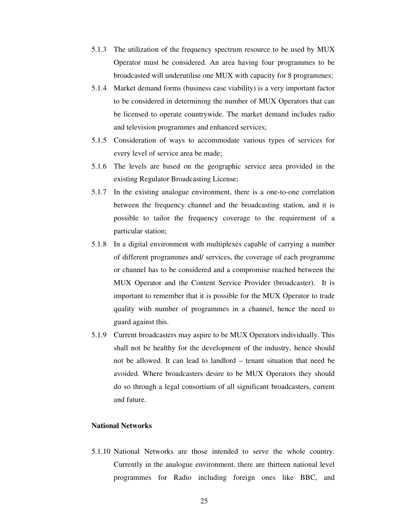- 5.1.3 The utilization of the frequency spectrum resource to be used by MUX Operator must be considered. An area having four programmes to be broadcasted will underutilise one MUX with capacity for 8 programmes;
- 5.1.4 Market demand forms (business case viability) is a very important factor to be considered in determining the number of MUX Operators that can be licensed to operate countrywide. The market demand includes radio and television programmes and enhanced services;
- 5.1.5 Consideration of ways to accommodate various types of services for every level of service area be made;
- 5.1.6 The levels are based on the geographic service area provided in the existing Regulator Broadcasting License;
- 5.1.7 In the existing analogue environment, there is a one-to-one correlation between the frequency channel and the broadcasting station, and it is possible to tailor the frequency coverage to the requirement of a particular station;
- 5.1.8 In a digital environment with multiplexes capable of carrying a number of different programmes and/ services, the coverage of each programme or channel has to be considered and a compromise reached between the MUX Operator and the Content Service Provider (broadcaster). It is important to remember that it is possible for the MUX Operator to trade quality with number of programmes in a channel, hence the need to guard against this.
- 5.1.9 Current broadcasters may aspire to be MUX Operators individually. This shall not be healthy for the development of the industry, hence should not be allowed. It can lead to landlord – tenant situation that need be avoided. Where broadcasters desire to be MUX Operators they should do so through a legal consortium of all significant broadcasters, current and future.

# **National Networks**

5.1.10 National Networks are those intended to serve the whole country. Currently in the analogue environment, there are thirteen national level programmes for Radio including foreign ones like BBC, and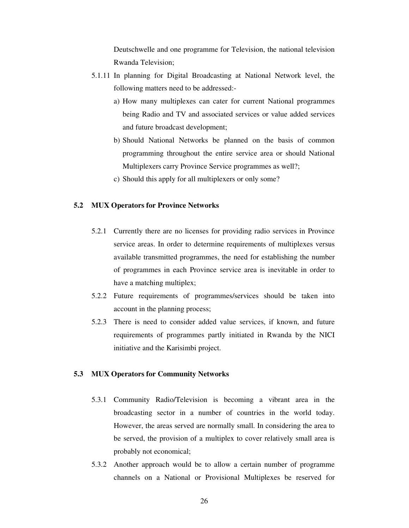Deutschwelle and one programme for Television, the national television Rwanda Television;

- 5.1.11 In planning for Digital Broadcasting at National Network level, the following matters need to be addressed:
	- a) How many multiplexes can cater for current National programmes being Radio and TV and associated services or value added services and future broadcast development;
	- b) Should National Networks be planned on the basis of common programming throughout the entire service area or should National Multiplexers carry Province Service programmes as well?;
	- c) Should this apply for all multiplexers or only some?

## **5.2 MUX Operators for Province Networks**

- 5.2.1 Currently there are no licenses for providing radio services in Province service areas. In order to determine requirements of multiplexes versus available transmitted programmes, the need for establishing the number of programmes in each Province service area is inevitable in order to have a matching multiplex;
- 5.2.2 Future requirements of programmes/services should be taken into account in the planning process;
- 5.2.3 There is need to consider added value services, if known, and future requirements of programmes partly initiated in Rwanda by the NICI initiative and the Karisimbi project.

# **5.3 MUX Operators for Community Networks**

- 5.3.1 Community Radio/Television is becoming a vibrant area in the broadcasting sector in a number of countries in the world today. However, the areas served are normally small. In considering the area to be served, the provision of a multiplex to cover relatively small area is probably not economical;
- 5.3.2 Another approach would be to allow a certain number of programme channels on a National or Provisional Multiplexes be reserved for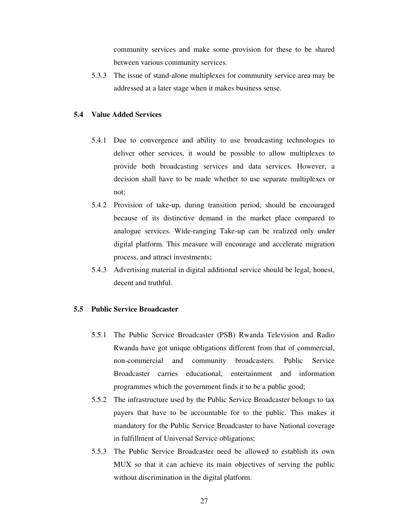community services and make some provision for these to be shared between various community services.

5.3.3 The issue of stand-alone multiplexes for community service area may be addressed at a later stage when it makes business sense.

### **5.4 Value Added Services**

- 5.4.1 Due to convergence and ability to use broadcasting technologies to deliver other services, it would be possible to allow multiplexes to provide both broadcasting services and data services. However, a decision shall have to be made whether to use separate multiplexes or not;
- 5.4.2 Provision of take-up, during transition period, should be encouraged because of its distinctive demand in the market place compared to analogue services. Wide-ranging Take-up can be realized only under digital platform. This measure will encourage and accelerate migration process, and attract investments;
- 5.4.3 Advertising material in digital additional service should be legal, honest, decent and truthful.

### **5.5 Public Service Broadcaster**

- 5.5.1 The Public Service Broadcaster (PSB) Rwanda Television and Radio Rwanda have got unique obligations different from that of commercial, non-commercial and community broadcasters. Public Service Broadcaster carries educational, entertainment and information programmes which the government finds it to be a public good;
- 5.5.2 The infrastructure used by the Public Service Broadcaster belongs to tax payers that have to be accountable for to the public. This makes it mandatory for the Public Service Broadcaster to have National coverage in fulfillment of Universal Service obligations;
- 5.5.3 The Public Service Broadcaster need be allowed to establish its own MUX so that it can achieve its main objectives of serving the public without discrimination in the digital platform.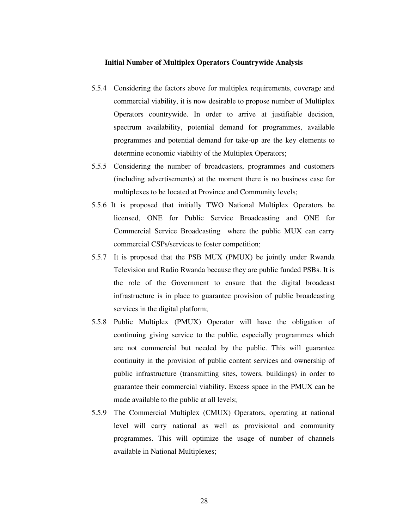## **Initial Number of Multiplex Operators Countrywide Analysis**

- 5.5.4 Considering the factors above for multiplex requirements, coverage and commercial viability, it is now desirable to propose number of Multiplex Operators countrywide. In order to arrive at justifiable decision, spectrum availability, potential demand for programmes, available programmes and potential demand for take-up are the key elements to determine economic viability of the Multiplex Operators;
- 5.5.5 Considering the number of broadcasters, programmes and customers (including advertisements) at the moment there is no business case for multiplexes to be located at Province and Community levels;
- 5.5.6 It is proposed that initially TWO National Multiplex Operators be licensed, ONE for Public Service Broadcasting and ONE for Commercial Service Broadcasting where the public MUX can carry commercial CSPs/services to foster competition;
- 5.5.7 It is proposed that the PSB MUX (PMUX) be jointly under Rwanda Television and Radio Rwanda because they are public funded PSBs. It is the role of the Government to ensure that the digital broadcast infrastructure is in place to guarantee provision of public broadcasting services in the digital platform;
- 5.5.8 Public Multiplex (PMUX) Operator will have the obligation of continuing giving service to the public, especially programmes which are not commercial but needed by the public. This will guarantee continuity in the provision of public content services and ownership of public infrastructure (transmitting sites, towers, buildings) in order to guarantee their commercial viability. Excess space in the PMUX can be made available to the public at all levels;
- 5.5.9 The Commercial Multiplex (CMUX) Operators, operating at national level will carry national as well as provisional and community programmes. This will optimize the usage of number of channels available in National Multiplexes;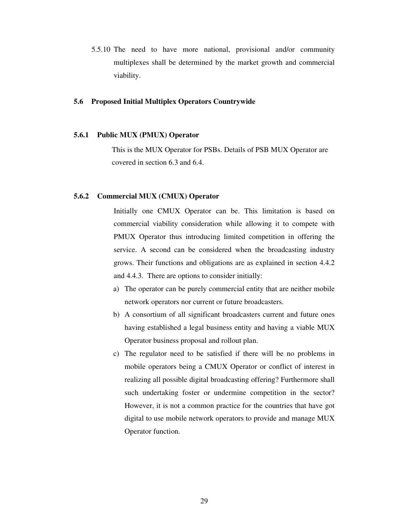5.5.10 The need to have more national, provisional and/or community multiplexes shall be determined by the market growth and commercial viability.

### **5.6 Proposed Initial Multiplex Operators Countrywide**

#### **5.6.1 Public MUX (PMUX) Operator**

This is the MUX Operator for PSBs. Details of PSB MUX Operator are covered in section 6.3 and 6.4.

### **5.6.2 Commercial MUX (CMUX) Operator**

Initially one CMUX Operator can be. This limitation is based on commercial viability consideration while allowing it to compete with PMUX Operator thus introducing limited competition in offering the service. A second can be considered when the broadcasting industry grows. Their functions and obligations are as explained in section 4.4.2 and 4.4.3. There are options to consider initially:

- a) The operator can be purely commercial entity that are neither mobile network operators nor current or future broadcasters.
- b) A consortium of all significant broadcasters current and future ones having established a legal business entity and having a viable MUX Operator business proposal and rollout plan.
- c) The regulator need to be satisfied if there will be no problems in mobile operators being a CMUX Operator or conflict of interest in realizing all possible digital broadcasting offering? Furthermore shall such undertaking foster or undermine competition in the sector? However, it is not a common practice for the countries that have got digital to use mobile network operators to provide and manage MUX Operator function.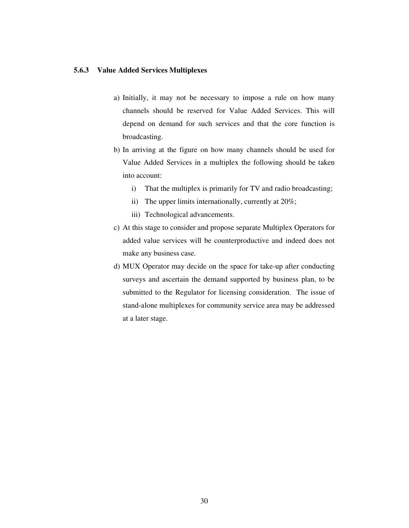### **5.6.3 Value Added Services Multiplexes**

- a) Initially, it may not be necessary to impose a rule on how many channels should be reserved for Value Added Services. This will depend on demand for such services and that the core function is broadcasting.
- b) In arriving at the figure on how many channels should be used for Value Added Services in a multiplex the following should be taken into account:
	- i) That the multiplex is primarily for TV and radio broadcasting;
	- ii) The upper limits internationally, currently at 20%;
	- iii) Technological advancements.
- c) At this stage to consider and propose separate Multiplex Operators for added value services will be counterproductive and indeed does not make any business case.
- d) MUX Operator may decide on the space for take-up after conducting surveys and ascertain the demand supported by business plan, to be submitted to the Regulator for licensing consideration. The issue of stand-alone multiplexes for community service area may be addressed at a later stage.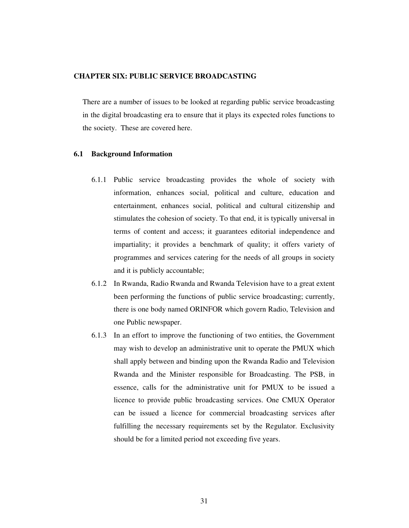### **CHAPTER SIX: PUBLIC SERVICE BROADCASTING**

There are a number of issues to be looked at regarding public service broadcasting in the digital broadcasting era to ensure that it plays its expected roles functions to the society. These are covered here.

### **6.1 Background Information**

- 6.1.1 Public service broadcasting provides the whole of society with information, enhances social, political and culture, education and entertainment, enhances social, political and cultural citizenship and stimulates the cohesion of society. To that end, it is typically universal in terms of content and access; it guarantees editorial independence and impartiality; it provides a benchmark of quality; it offers variety of programmes and services catering for the needs of all groups in society and it is publicly accountable;
- 6.1.2 In Rwanda, Radio Rwanda and Rwanda Television have to a great extent been performing the functions of public service broadcasting; currently, there is one body named ORINFOR which govern Radio, Television and one Public newspaper.
- 6.1.3 In an effort to improve the functioning of two entities, the Government may wish to develop an administrative unit to operate the PMUX which shall apply between and binding upon the Rwanda Radio and Television Rwanda and the Minister responsible for Broadcasting. The PSB, in essence, calls for the administrative unit for PMUX to be issued a licence to provide public broadcasting services. One CMUX Operator can be issued a licence for commercial broadcasting services after fulfilling the necessary requirements set by the Regulator. Exclusivity should be for a limited period not exceeding five years.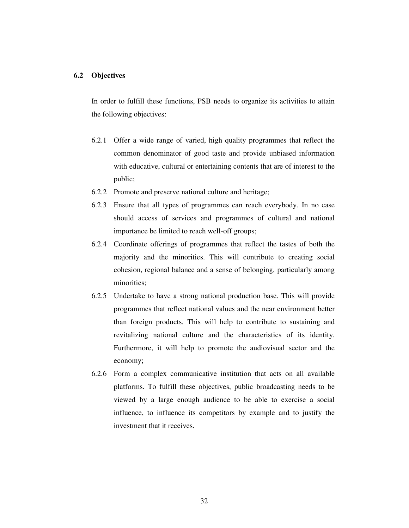### **6.2 Objectives**

In order to fulfill these functions, PSB needs to organize its activities to attain the following objectives:

- 6.2.1 Offer a wide range of varied, high quality programmes that reflect the common denominator of good taste and provide unbiased information with educative, cultural or entertaining contents that are of interest to the public;
- 6.2.2 Promote and preserve national culture and heritage;
- 6.2.3 Ensure that all types of programmes can reach everybody. In no case should access of services and programmes of cultural and national importance be limited to reach well-off groups;
- 6.2.4 Coordinate offerings of programmes that reflect the tastes of both the majority and the minorities. This will contribute to creating social cohesion, regional balance and a sense of belonging, particularly among minorities;
- 6.2.5 Undertake to have a strong national production base. This will provide programmes that reflect national values and the near environment better than foreign products. This will help to contribute to sustaining and revitalizing national culture and the characteristics of its identity. Furthermore, it will help to promote the audiovisual sector and the economy;
- 6.2.6 Form a complex communicative institution that acts on all available platforms. To fulfill these objectives, public broadcasting needs to be viewed by a large enough audience to be able to exercise a social influence, to influence its competitors by example and to justify the investment that it receives.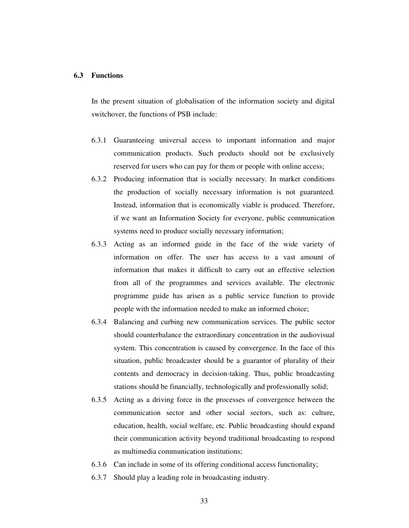### **6.3 Functions**

In the present situation of globalisation of the information society and digital switchover, the functions of PSB include:

- 6.3.1 Guaranteeing universal access to important information and major communication products. Such products should not be exclusively reserved for users who can pay for them or people with online access;
- 6.3.2 Producing information that is socially necessary. In market conditions the production of socially necessary information is not guaranteed. Instead, information that is economically viable is produced. Therefore, if we want an Information Society for everyone, public communication systems need to produce socially necessary information;
- 6.3.3 Acting as an informed guide in the face of the wide variety of information on offer. The user has access to a vast amount of information that makes it difficult to carry out an effective selection from all of the programmes and services available. The electronic programme guide has arisen as a public service function to provide people with the information needed to make an informed choice;
- 6.3.4 Balancing and curbing new communication services. The public sector should counterbalance the extraordinary concentration in the audiovisual system. This concentration is caused by convergence. In the face of this situation, public broadcaster should be a guarantor of plurality of their contents and democracy in decision-taking. Thus, public broadcasting stations should be financially, technologically and professionally solid;
- 6.3.5 Acting as a driving force in the processes of convergence between the communication sector and other social sectors, such as: culture, education, health, social welfare, etc. Public broadcasting should expand their communication activity beyond traditional broadcasting to respond as multimedia communication institutions;
- 6.3.6 Can include in some of its offering conditional access functionality;
- 6.3.7 Should play a leading role in broadcasting industry.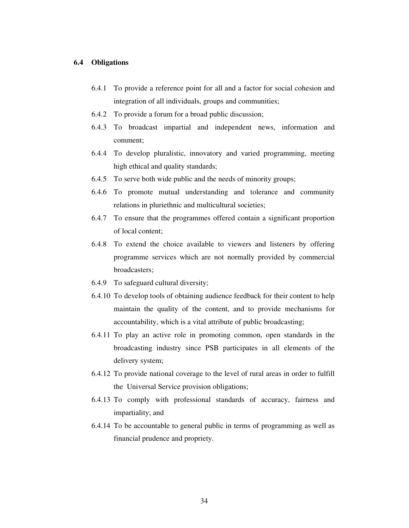### **6.4 Obligations**

- 6.4.1 To provide a reference point for all and a factor for social cohesion and integration of all individuals, groups and communities;
- 6.4.2 To provide a forum for a broad public discussion;
- 6.4.3 To broadcast impartial and independent news, information and comment;
- 6.4.4 To develop pluralistic, innovatory and varied programming, meeting high ethical and quality standards;
- 6.4.5 To serve both wide public and the needs of minority groups;
- 6.4.6 To promote mutual understanding and tolerance and community relations in pluriethnic and multicultural societies;
- 6.4.7 To ensure that the programmes offered contain a significant proportion of local content;
- 6.4.8 To extend the choice available to viewers and listeners by offering programme services which are not normally provided by commercial broadcasters;
- 6.4.9 To safeguard cultural diversity;
- 6.4.10 To develop tools of obtaining audience feedback for their content to help maintain the quality of the content, and to provide mechanisms for accountability, which is a vital attribute of public broadcasting;
- 6.4.11 To play an active role in promoting common, open standards in the broadcasting industry since PSB participates in all elements of the delivery system;
- 6.4.12 To provide national coverage to the level of rural areas in order to fulfill the Universal Service provision obligations;
- 6.4.13 To comply with professional standards of accuracy, fairness and impartiality; and
- 6.4.14 To be accountable to general public in terms of programming as well as financial prudence and propriety.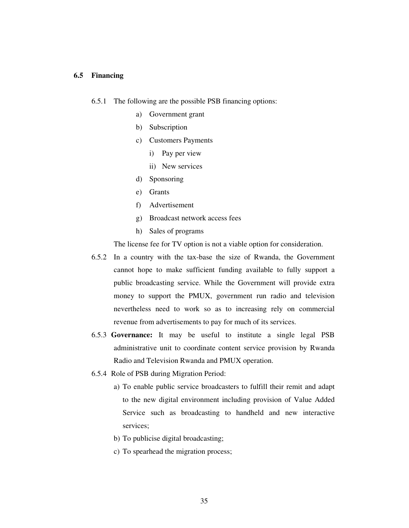### **6.5 Financing**

6.5.1 The following are the possible PSB financing options:

- a) Government grant
- b) Subscription
- c) Customers Payments
	- i) Pay per view
	- ii) New services
- d) Sponsoring
- e) Grants
- f) Advertisement
- g) Broadcast network access fees
- h) Sales of programs

The license fee for TV option is not a viable option for consideration.

- 6.5.2 In a country with the tax-base the size of Rwanda, the Government cannot hope to make sufficient funding available to fully support a public broadcasting service. While the Government will provide extra money to support the PMUX, government run radio and television nevertheless need to work so as to increasing rely on commercial revenue from advertisements to pay for much of its services.
- 6.5.3 **Governance:** It may be useful to institute a single legal PSB administrative unit to coordinate content service provision by Rwanda Radio and Television Rwanda and PMUX operation.
- 6.5.4 Role of PSB during Migration Period:
	- a) To enable public service broadcasters to fulfill their remit and adapt to the new digital environment including provision of Value Added Service such as broadcasting to handheld and new interactive services;
	- b) To publicise digital broadcasting;
	- c) To spearhead the migration process;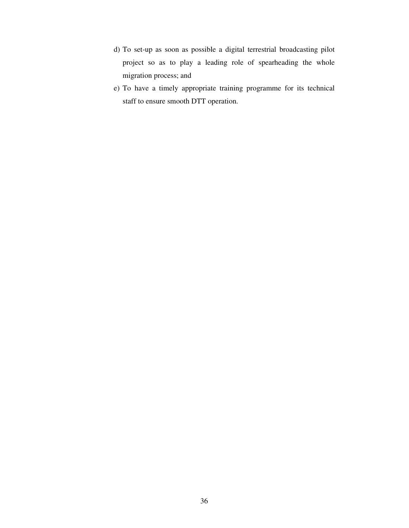- d) To set-up as soon as possible a digital terrestrial broadcasting pilot project so as to play a leading role of spearheading the whole migration process; and
- e) To have a timely appropriate training programme for its technical staff to ensure smooth DTT operation.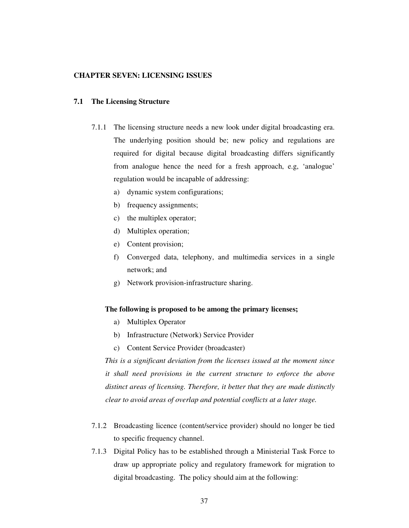### **CHAPTER SEVEN: LICENSING ISSUES**

### **7.1 The Licensing Structure**

- 7.1.1 The licensing structure needs a new look under digital broadcasting era. The underlying position should be; new policy and regulations are required for digital because digital broadcasting differs significantly from analogue hence the need for a fresh approach, e.g, 'analogue' regulation would be incapable of addressing:
	- a) dynamic system configurations;
	- b) frequency assignments;
	- c) the multiplex operator;
	- d) Multiplex operation;
	- e) Content provision;
	- f) Converged data, telephony, and multimedia services in a single network; and
	- g) Network provision-infrastructure sharing.

### **The following is proposed to be among the primary licenses;**

- a) Multiplex Operator
- b) Infrastructure (Network) Service Provider
- c) Content Service Provider (broadcaster)

*This is a significant deviation from the licenses issued at the moment since it shall need provisions in the current structure to enforce the above distinct areas of licensing. Therefore, it better that they are made distinctly clear to avoid areas of overlap and potential conflicts at a later stage.* 

- 7.1.2 Broadcasting licence (content/service provider) should no longer be tied to specific frequency channel.
- 7.1.3 Digital Policy has to be established through a Ministerial Task Force to draw up appropriate policy and regulatory framework for migration to digital broadcasting. The policy should aim at the following: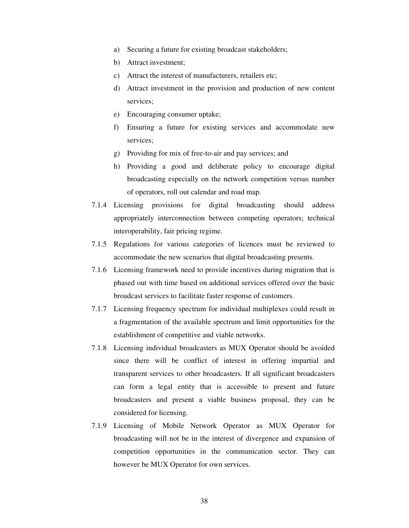- a) Securing a future for existing broadcast stakeholders;
- b) Attract investment;
- c) Attract the interest of manufacturers, retailers etc;
- d) Attract investment in the provision and production of new content services;
- e) Encouraging consumer uptake;
- f) Ensuring a future for existing services and accommodate new services;
- g) Providing for mix of free-to-air and pay services; and
- h) Providing a good and deliberate policy to encourage digital broadcasting especially on the network competition versus number of operators, roll out calendar and road map.
- 7.1.4 Licensing provisions for digital broadcasting should address appropriately interconnection between competing operators; technical interoperability, fair pricing regime.
- 7.1.5 Regulations for various categories of licences must be reviewed to accommodate the new scenarios that digital broadcasting presents.
- 7.1.6 Licensing framework need to provide incentives during migration that is phased out with time based on additional services offered over the basic broadcast services to facilitate faster response of customers.
- 7.1.7 Licensing frequency spectrum for individual multiplexes could result in a fragmentation of the available spectrum and limit opportunities for the establishment of competitive and viable networks.
- 7.1.8 Licensing individual broadcasters as MUX Operator should be avoided since there will be conflict of interest in offering impartial and transparent services to other broadcasters. If all significant broadcasters can form a legal entity that is accessible to present and future broadcasters and present a viable business proposal, they can be considered for licensing.
- 7.1.9 Licensing of Mobile Network Operator as MUX Operator for broadcasting will not be in the interest of divergence and expansion of competition opportunities in the communication sector. They can however be MUX Operator for own services.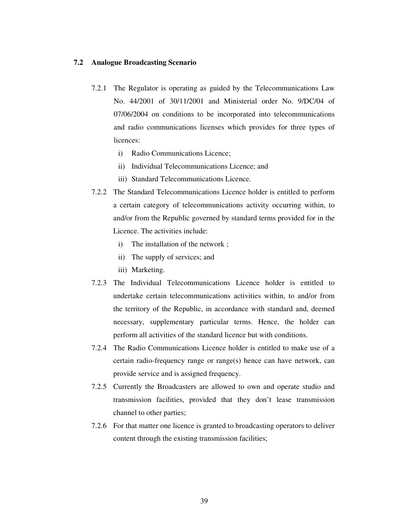# **7.2 Analogue Broadcasting Scenario**

- 7.2.1 The Regulator is operating as guided by the Telecommunications Law No. 44/2001 of 30/11/2001 and Ministerial order No. 9/DC/04 of 07/06/2004 on conditions to be incorporated into telecommunications and radio communications licenses which provides for three types of licences:
	- i) Radio Communications Licence;
	- ii) Individual Telecommunications Licence; and
	- iii) Standard Telecommunications Licence.
- 7.2.2 The Standard Telecommunications Licence holder is entitled to perform a certain category of telecommunications activity occurring within, to and/or from the Republic governed by standard terms provided for in the Licence. The activities include:
	- i) The installation of the network ;
	- ii) The supply of services; and
	- iii) Marketing.
- 7.2.3 The Individual Telecommunications Licence holder is entitled to undertake certain telecommunications activities within, to and/or from the territory of the Republic, in accordance with standard and, deemed necessary, supplementary particular terms. Hence, the holder can perform all activities of the standard licence but with conditions.
- 7.2.4 The Radio Communications Licence holder is entitled to make use of a certain radio-frequency range or range(s) hence can have network, can provide service and is assigned frequency.
- 7.2.5 Currently the Broadcasters are allowed to own and operate studio and transmission facilities, provided that they don't lease transmission channel to other parties;
- 7.2.6 For that matter one licence is granted to broadcasting operators to deliver content through the existing transmission facilities;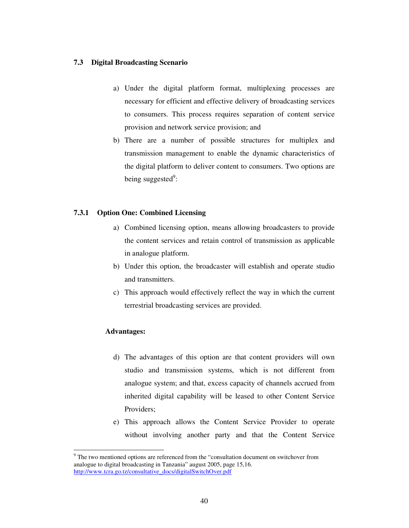## **7.3 Digital Broadcasting Scenario**

- a) Under the digital platform format, multiplexing processes are necessary for efficient and effective delivery of broadcasting services to consumers. This process requires separation of content service provision and network service provision; and
- b) There are a number of possible structures for multiplex and transmission management to enable the dynamic characteristics of the digital platform to deliver content to consumers. Two options are being suggested<sup>9</sup>:

# **7.3.1 Option One: Combined Licensing**

- a) Combined licensing option, means allowing broadcasters to provide the content services and retain control of transmission as applicable in analogue platform.
- b) Under this option, the broadcaster will establish and operate studio and transmitters.
- c) This approach would effectively reflect the way in which the current terrestrial broadcasting services are provided.

# **Advantages:**

 $\overline{a}$ 

- d) The advantages of this option are that content providers will own studio and transmission systems, which is not different from analogue system; and that, excess capacity of channels accrued from inherited digital capability will be leased to other Content Service Providers;
- e) This approach allows the Content Service Provider to operate without involving another party and that the Content Service

<sup>&</sup>lt;sup>9</sup> The two mentioned options are referenced from the "consultation document on switchover from analogue to digital broadcasting in Tanzania" august 2005, page 15,16. http://www.tcra.go.tz/consultative\_docs/digitalSwitchOver.pdf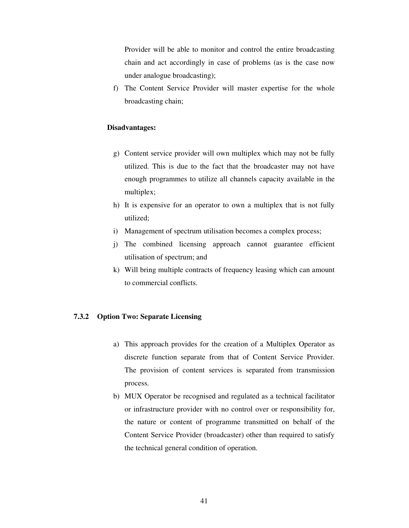Provider will be able to monitor and control the entire broadcasting chain and act accordingly in case of problems (as is the case now under analogue broadcasting);

f) The Content Service Provider will master expertise for the whole broadcasting chain;

### **Disadvantages:**

- g) Content service provider will own multiplex which may not be fully utilized. This is due to the fact that the broadcaster may not have enough programmes to utilize all channels capacity available in the multiplex;
- h) It is expensive for an operator to own a multiplex that is not fully utilized;
- i) Management of spectrum utilisation becomes a complex process;
- j) The combined licensing approach cannot guarantee efficient utilisation of spectrum; and
- k) Will bring multiple contracts of frequency leasing which can amount to commercial conflicts.

### **7.3.2 Option Two: Separate Licensing**

- a) This approach provides for the creation of a Multiplex Operator as discrete function separate from that of Content Service Provider. The provision of content services is separated from transmission process.
- b) MUX Operator be recognised and regulated as a technical facilitator or infrastructure provider with no control over or responsibility for, the nature or content of programme transmitted on behalf of the Content Service Provider (broadcaster) other than required to satisfy the technical general condition of operation.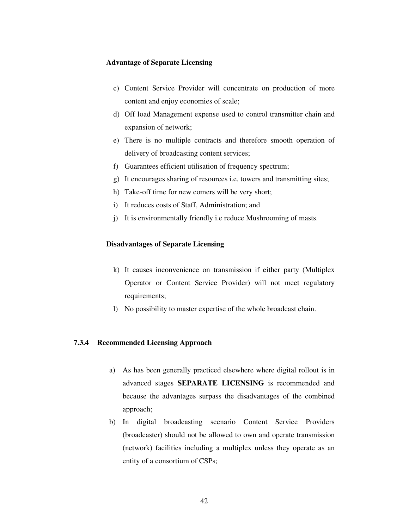### **Advantage of Separate Licensing**

- c) Content Service Provider will concentrate on production of more content and enjoy economies of scale;
- d) Off load Management expense used to control transmitter chain and expansion of network;
- e) There is no multiple contracts and therefore smooth operation of delivery of broadcasting content services;
- f) Guarantees efficient utilisation of frequency spectrum;
- g) It encourages sharing of resources i.e. towers and transmitting sites;
- h) Take-off time for new comers will be very short;
- i) It reduces costs of Staff, Administration; and
- j) It is environmentally friendly i.e reduce Mushrooming of masts.

### **Disadvantages of Separate Licensing**

- k) It causes inconvenience on transmission if either party (Multiplex Operator or Content Service Provider) will not meet regulatory requirements;
- l) No possibility to master expertise of the whole broadcast chain.

### **7.3.4 Recommended Licensing Approach**

- a) As has been generally practiced elsewhere where digital rollout is in advanced stages **SEPARATE LICENSING** is recommended and because the advantages surpass the disadvantages of the combined approach;
- b) In digital broadcasting scenario Content Service Providers (broadcaster) should not be allowed to own and operate transmission (network) facilities including a multiplex unless they operate as an entity of a consortium of CSPs;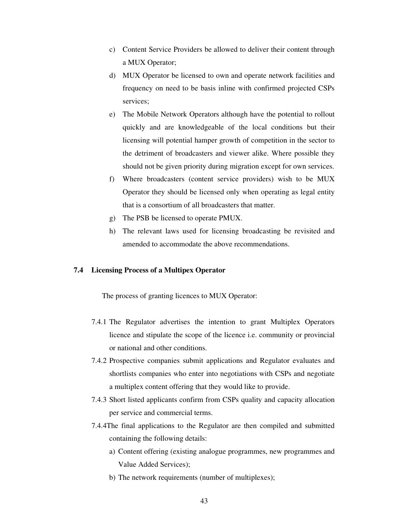- c) Content Service Providers be allowed to deliver their content through a MUX Operator;
- d) MUX Operator be licensed to own and operate network facilities and frequency on need to be basis inline with confirmed projected CSPs services;
- e) The Mobile Network Operators although have the potential to rollout quickly and are knowledgeable of the local conditions but their licensing will potential hamper growth of competition in the sector to the detriment of broadcasters and viewer alike. Where possible they should not be given priority during migration except for own services.
- f) Where broadcasters (content service providers) wish to be MUX Operator they should be licensed only when operating as legal entity that is a consortium of all broadcasters that matter.
- g) The PSB be licensed to operate PMUX.
- h) The relevant laws used for licensing broadcasting be revisited and amended to accommodate the above recommendations.

### **7.4 Licensing Process of a Multipex Operator**

The process of granting licences to MUX Operator:

- 7.4.1 The Regulator advertises the intention to grant Multiplex Operators licence and stipulate the scope of the licence i.e. community or provincial or national and other conditions.
- 7.4.2 Prospective companies submit applications and Regulator evaluates and shortlists companies who enter into negotiations with CSPs and negotiate a multiplex content offering that they would like to provide.
- 7.4.3 Short listed applicants confirm from CSPs quality and capacity allocation per service and commercial terms.
- 7.4.4The final applications to the Regulator are then compiled and submitted containing the following details:
	- a) Content offering (existing analogue programmes, new programmes and Value Added Services);
	- b) The network requirements (number of multiplexes);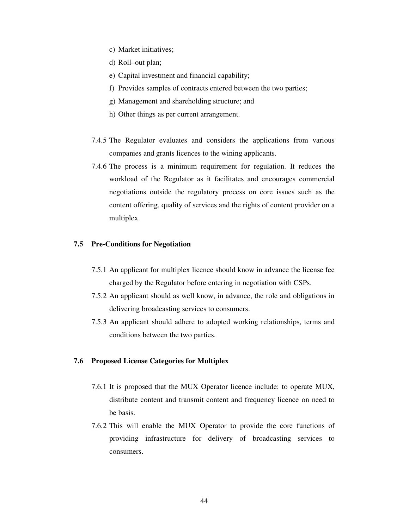- c) Market initiatives;
- d) Roll–out plan;
- e) Capital investment and financial capability;
- f) Provides samples of contracts entered between the two parties;
- g) Management and shareholding structure; and
- h) Other things as per current arrangement.
- 7.4.5 The Regulator evaluates and considers the applications from various companies and grants licences to the wining applicants.
- 7.4.6 The process is a minimum requirement for regulation. It reduces the workload of the Regulator as it facilitates and encourages commercial negotiations outside the regulatory process on core issues such as the content offering, quality of services and the rights of content provider on a multiplex.

### **7.5 Pre-Conditions for Negotiation**

- 7.5.1 An applicant for multiplex licence should know in advance the license fee charged by the Regulator before entering in negotiation with CSPs.
- 7.5.2 An applicant should as well know, in advance, the role and obligations in delivering broadcasting services to consumers.
- 7.5.3 An applicant should adhere to adopted working relationships, terms and conditions between the two parties.

### **7.6 Proposed License Categories for Multiplex**

- 7.6.1 It is proposed that the MUX Operator licence include: to operate MUX, distribute content and transmit content and frequency licence on need to be basis.
- 7.6.2 This will enable the MUX Operator to provide the core functions of providing infrastructure for delivery of broadcasting services to consumers.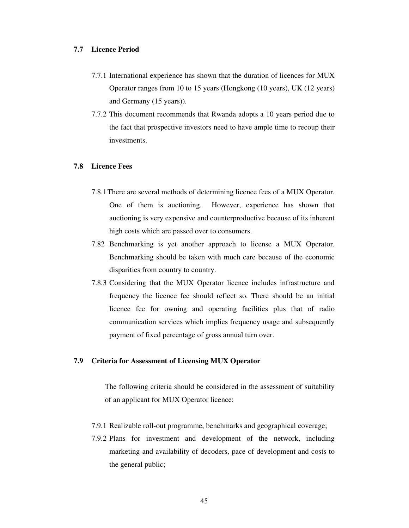### **7.7 Licence Period**

- 7.7.1 International experience has shown that the duration of licences for MUX Operator ranges from 10 to 15 years (Hongkong (10 years), UK (12 years) and Germany (15 years)).
- 7.7.2 This document recommends that Rwanda adopts a 10 years period due to the fact that prospective investors need to have ample time to recoup their investments.

# **7.8 Licence Fees**

- 7.8.1 There are several methods of determining licence fees of a MUX Operator. One of them is auctioning. However, experience has shown that auctioning is very expensive and counterproductive because of its inherent high costs which are passed over to consumers.
- 7.82 Benchmarking is yet another approach to license a MUX Operator. Benchmarking should be taken with much care because of the economic disparities from country to country.
- 7.8.3 Considering that the MUX Operator licence includes infrastructure and frequency the licence fee should reflect so. There should be an initial licence fee for owning and operating facilities plus that of radio communication services which implies frequency usage and subsequently payment of fixed percentage of gross annual turn over.

## **7.9 Criteria for Assessment of Licensing MUX Operator**

The following criteria should be considered in the assessment of suitability of an applicant for MUX Operator licence:

- 7.9.1 Realizable roll-out programme, benchmarks and geographical coverage;
- 7.9.2 Plans for investment and development of the network, including marketing and availability of decoders, pace of development and costs to the general public;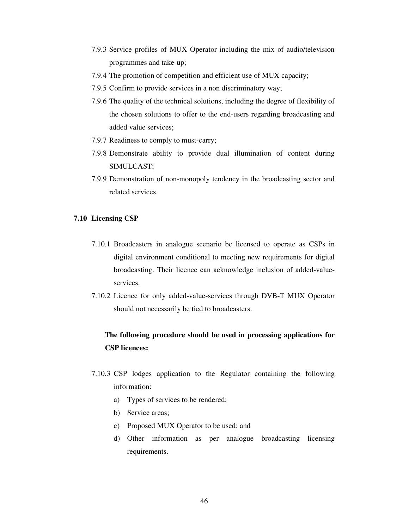- 7.9.3 Service profiles of MUX Operator including the mix of audio/television programmes and take-up;
- 7.9.4 The promotion of competition and efficient use of MUX capacity;
- 7.9.5 Confirm to provide services in a non discriminatory way;
- 7.9.6 The quality of the technical solutions, including the degree of flexibility of the chosen solutions to offer to the end-users regarding broadcasting and added value services;
- 7.9.7 Readiness to comply to must-carry;
- 7.9.8 Demonstrate ability to provide dual illumination of content during SIMULCAST;
- 7.9.9 Demonstration of non-monopoly tendency in the broadcasting sector and related services.

# **7.10 Licensing CSP**

- 7.10.1 Broadcasters in analogue scenario be licensed to operate as CSPs in digital environment conditional to meeting new requirements for digital broadcasting. Their licence can acknowledge inclusion of added-valueservices.
- 7.10.2 Licence for only added-value-services through DVB-T MUX Operator should not necessarily be tied to broadcasters.

# **The following procedure should be used in processing applications for CSP licences:**

- 7.10.3 CSP lodges application to the Regulator containing the following information:
	- a) Types of services to be rendered;
	- b) Service areas;
	- c) Proposed MUX Operator to be used; and
	- d) Other information as per analogue broadcasting licensing requirements.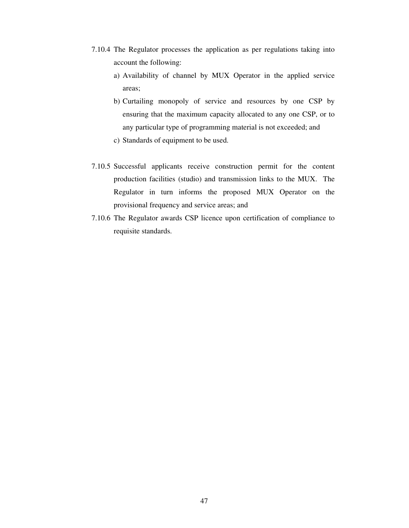- 7.10.4 The Regulator processes the application as per regulations taking into account the following:
	- a) Availability of channel by MUX Operator in the applied service areas;
	- b) Curtailing monopoly of service and resources by one CSP by ensuring that the maximum capacity allocated to any one CSP, or to any particular type of programming material is not exceeded; and
	- c) Standards of equipment to be used.
- 7.10.5 Successful applicants receive construction permit for the content production facilities (studio) and transmission links to the MUX. The Regulator in turn informs the proposed MUX Operator on the provisional frequency and service areas; and
- 7.10.6 The Regulator awards CSP licence upon certification of compliance to requisite standards.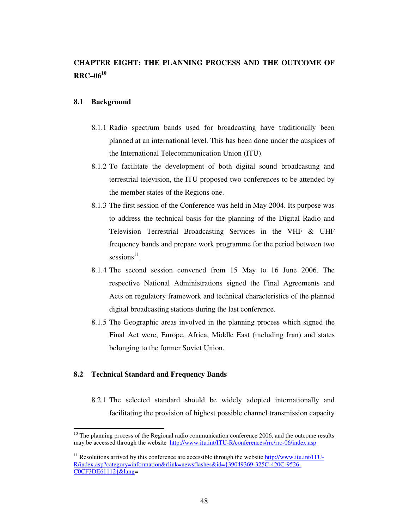# **CHAPTER EIGHT: THE PLANNING PROCESS AND THE OUTCOME OF RRC–06<sup>10</sup>**

### **8.1 Background**

- 8.1.1 Radio spectrum bands used for broadcasting have traditionally been planned at an international level. This has been done under the auspices of the International Telecommunication Union (ITU).
- 8.1.2 To facilitate the development of both digital sound broadcasting and terrestrial television, the ITU proposed two conferences to be attended by the member states of the Regions one.
- 8.1.3 The first session of the Conference was held in May 2004. Its purpose was to address the technical basis for the planning of the Digital Radio and Television Terrestrial Broadcasting Services in the VHF & UHF frequency bands and prepare work programme for the period between two  $s$ essions<sup>11</sup>.
- 8.1.4 The second session convened from 15 May to 16 June 2006. The respective National Administrations signed the Final Agreements and Acts on regulatory framework and technical characteristics of the planned digital broadcasting stations during the last conference.
- 8.1.5 The Geographic areas involved in the planning process which signed the Final Act were, Europe, Africa, Middle East (including Iran) and states belonging to the former Soviet Union.

# **8.2 Technical Standard and Frequency Bands**

 $\ddot{\phantom{a}}$ 

8.2.1 The selected standard should be widely adopted internationally and facilitating the provision of highest possible channel transmission capacity

 $10$  The planning process of the Regional radio communication conference 2006, and the outcome results may be accessed through the website http://www.itu.int/ITU-R/conferences/rrc/rrc-06/index.asp

<sup>&</sup>lt;sup>11</sup> Resolutions arrived by this conference are accessible through the website http://www.itu.int/ITU-R/index.asp?category=information&rlink=newsflashes&id={39049369-325C-420C-9526- C0CF3DE61112}&lang=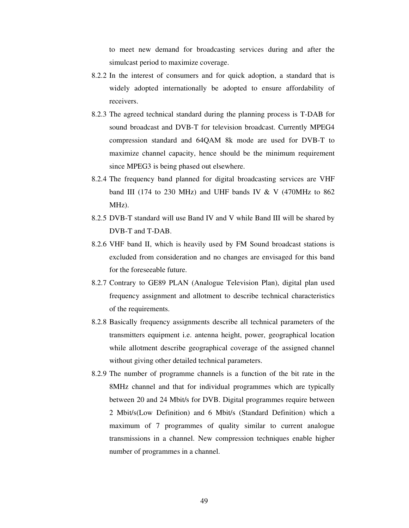to meet new demand for broadcasting services during and after the simulcast period to maximize coverage.

- 8.2.2 In the interest of consumers and for quick adoption, a standard that is widely adopted internationally be adopted to ensure affordability of receivers.
- 8.2.3 The agreed technical standard during the planning process is T-DAB for sound broadcast and DVB-T for television broadcast. Currently MPEG4 compression standard and 64QAM 8k mode are used for DVB-T to maximize channel capacity, hence should be the minimum requirement since MPEG3 is being phased out elsewhere.
- 8.2.4 The frequency band planned for digital broadcasting services are VHF band III (174 to 230 MHz) and UHF bands IV  $&$  V (470MHz to 862 MHz).
- 8.2.5 DVB-T standard will use Band IV and V while Band III will be shared by DVB-T and T-DAB.
- 8.2.6 VHF band II, which is heavily used by FM Sound broadcast stations is excluded from consideration and no changes are envisaged for this band for the foreseeable future.
- 8.2.7 Contrary to GE89 PLAN (Analogue Television Plan), digital plan used frequency assignment and allotment to describe technical characteristics of the requirements.
- 8.2.8 Basically frequency assignments describe all technical parameters of the transmitters equipment i.e. antenna height, power, geographical location while allotment describe geographical coverage of the assigned channel without giving other detailed technical parameters.
- 8.2.9 The number of programme channels is a function of the bit rate in the 8MHz channel and that for individual programmes which are typically between 20 and 24 Mbit/s for DVB. Digital programmes require between 2 Mbit/s(Low Definition) and 6 Mbit/s (Standard Definition) which a maximum of 7 programmes of quality similar to current analogue transmissions in a channel. New compression techniques enable higher number of programmes in a channel.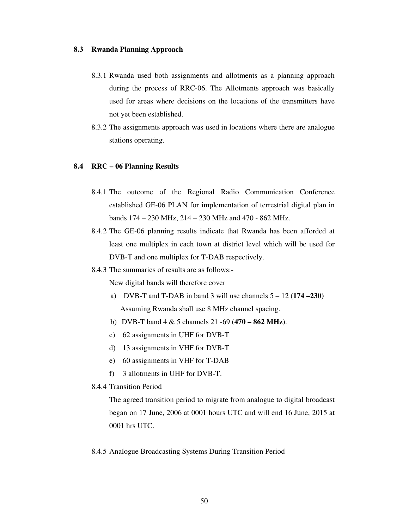### **8.3 Rwanda Planning Approach**

- 8.3.1 Rwanda used both assignments and allotments as a planning approach during the process of RRC-06. The Allotments approach was basically used for areas where decisions on the locations of the transmitters have not yet been established.
- 8.3.2 The assignments approach was used in locations where there are analogue stations operating.

### **8.4 RRC – 06 Planning Results**

- 8.4.1 The outcome of the Regional Radio Communication Conference established GE-06 PLAN for implementation of terrestrial digital plan in bands 174 – 230 MHz, 214 – 230 MHz and 470 - 862 MHz.
- 8.4.2 The GE-06 planning results indicate that Rwanda has been afforded at least one multiplex in each town at district level which will be used for DVB-T and one multiplex for T-DAB respectively.
- 8.4.3 The summaries of results are as follows:-

New digital bands will therefore cover

- a) DVB-T and T-DAB in band 3 will use channels 5 12 (**174 –230)** Assuming Rwanda shall use 8 MHz channel spacing.
- b) DVB-T band 4 & 5 channels 21 -69 (**470 862 MHz**).
- c) 62 assignments in UHF for DVB-T
- d) 13 assignments in VHF for DVB-T
- e) 60 assignments in VHF for T-DAB
- f) 3 allotments in UHF for DVB-T.
- 8.4.4 Transition Period

The agreed transition period to migrate from analogue to digital broadcast began on 17 June, 2006 at 0001 hours UTC and will end 16 June, 2015 at 0001 hrs UTC.

8.4.5 Analogue Broadcasting Systems During Transition Period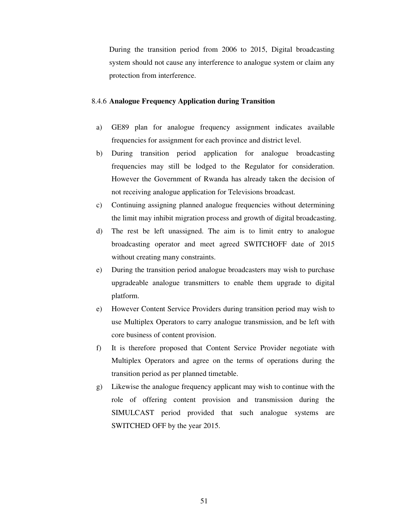During the transition period from 2006 to 2015, Digital broadcasting system should not cause any interference to analogue system or claim any protection from interference.

### 8.4.6 **Analogue Frequency Application during Transition**

- a) GE89 plan for analogue frequency assignment indicates available frequencies for assignment for each province and district level.
- b) During transition period application for analogue broadcasting frequencies may still be lodged to the Regulator for consideration. However the Government of Rwanda has already taken the decision of not receiving analogue application for Televisions broadcast.
- c) Continuing assigning planned analogue frequencies without determining the limit may inhibit migration process and growth of digital broadcasting.
- d) The rest be left unassigned. The aim is to limit entry to analogue broadcasting operator and meet agreed SWITCHOFF date of 2015 without creating many constraints.
- e) During the transition period analogue broadcasters may wish to purchase upgradeable analogue transmitters to enable them upgrade to digital platform.
- e) However Content Service Providers during transition period may wish to use Multiplex Operators to carry analogue transmission, and be left with core business of content provision.
- f) It is therefore proposed that Content Service Provider negotiate with Multiplex Operators and agree on the terms of operations during the transition period as per planned timetable.
- g) Likewise the analogue frequency applicant may wish to continue with the role of offering content provision and transmission during the SIMULCAST period provided that such analogue systems are SWITCHED OFF by the year 2015.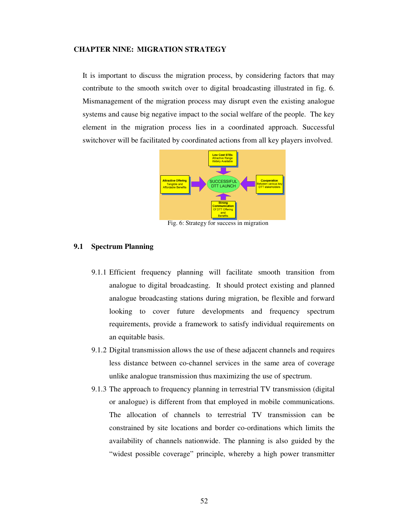### **CHAPTER NINE: MIGRATION STRATEGY**

It is important to discuss the migration process, by considering factors that may contribute to the smooth switch over to digital broadcasting illustrated in fig. 6. Mismanagement of the migration process may disrupt even the existing analogue systems and cause big negative impact to the social welfare of the people. The key element in the migration process lies in a coordinated approach. Successful switchover will be facilitated by coordinated actions from all key players involved.



Fig. 6: Strategy for success in migration

### **9.1 Spectrum Planning**

- 9.1.1 Efficient frequency planning will facilitate smooth transition from analogue to digital broadcasting. It should protect existing and planned analogue broadcasting stations during migration, be flexible and forward looking to cover future developments and frequency spectrum requirements, provide a framework to satisfy individual requirements on an equitable basis.
- 9.1.2 Digital transmission allows the use of these adjacent channels and requires less distance between co-channel services in the same area of coverage unlike analogue transmission thus maximizing the use of spectrum.
- 9.1.3 The approach to frequency planning in terrestrial TV transmission (digital or analogue) is different from that employed in mobile communications. The allocation of channels to terrestrial TV transmission can be constrained by site locations and border co-ordinations which limits the availability of channels nationwide. The planning is also guided by the "widest possible coverage" principle, whereby a high power transmitter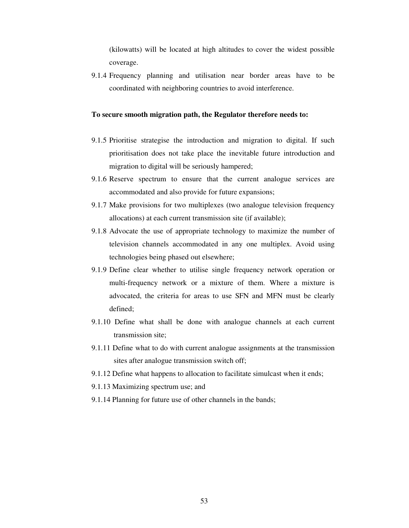(kilowatts) will be located at high altitudes to cover the widest possible coverage.

9.1.4 Frequency planning and utilisation near border areas have to be coordinated with neighboring countries to avoid interference.

### **To secure smooth migration path, the Regulator therefore needs to:**

- 9.1.5 Prioritise strategise the introduction and migration to digital. If such prioritisation does not take place the inevitable future introduction and migration to digital will be seriously hampered;
- 9.1.6 Reserve spectrum to ensure that the current analogue services are accommodated and also provide for future expansions;
- 9.1.7 Make provisions for two multiplexes (two analogue television frequency allocations) at each current transmission site (if available);
- 9.1.8 Advocate the use of appropriate technology to maximize the number of television channels accommodated in any one multiplex. Avoid using technologies being phased out elsewhere;
- 9.1.9 Define clear whether to utilise single frequency network operation or multi-frequency network or a mixture of them. Where a mixture is advocated, the criteria for areas to use SFN and MFN must be clearly defined;
- 9.1.10 Define what shall be done with analogue channels at each current transmission site;
- 9.1.11 Define what to do with current analogue assignments at the transmission sites after analogue transmission switch off;
- 9.1.12 Define what happens to allocation to facilitate simulcast when it ends;
- 9.1.13 Maximizing spectrum use; and
- 9.1.14 Planning for future use of other channels in the bands;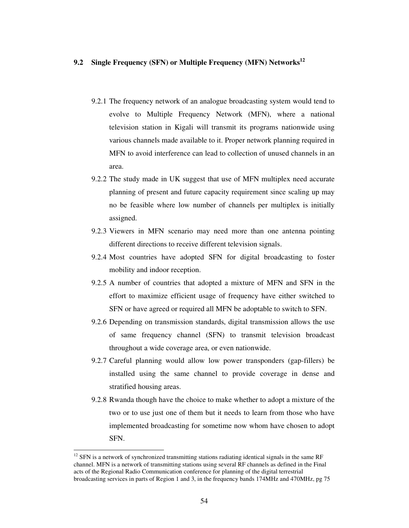# **9.2 Single Frequency (SFN) or Multiple Frequency (MFN) Networks<sup>12</sup>**

- 9.2.1 The frequency network of an analogue broadcasting system would tend to evolve to Multiple Frequency Network (MFN), where a national television station in Kigali will transmit its programs nationwide using various channels made available to it. Proper network planning required in MFN to avoid interference can lead to collection of unused channels in an area.
- 9.2.2 The study made in UK suggest that use of MFN multiplex need accurate planning of present and future capacity requirement since scaling up may no be feasible where low number of channels per multiplex is initially assigned.
- 9.2.3 Viewers in MFN scenario may need more than one antenna pointing different directions to receive different television signals.
- 9.2.4 Most countries have adopted SFN for digital broadcasting to foster mobility and indoor reception.
- 9.2.5 A number of countries that adopted a mixture of MFN and SFN in the effort to maximize efficient usage of frequency have either switched to SFN or have agreed or required all MFN be adoptable to switch to SFN.
- 9.2.6 Depending on transmission standards, digital transmission allows the use of same frequency channel (SFN) to transmit television broadcast throughout a wide coverage area, or even nationwide.
- 9.2.7 Careful planning would allow low power transponders (gap-fillers) be installed using the same channel to provide coverage in dense and stratified housing areas.
- 9.2.8 Rwanda though have the choice to make whether to adopt a mixture of the two or to use just one of them but it needs to learn from those who have implemented broadcasting for sometime now whom have chosen to adopt SFN.

 $\overline{a}$ 

 $12$  SFN is a network of synchronized transmitting stations radiating identical signals in the same RF channel. MFN is a network of transmitting stations using several RF channels as defined in the Final acts of the Regional Radio Communication conference for planning of the digital terrestrial broadcasting services in parts of Region 1 and 3, in the frequency bands 174MHz and 470MHz, pg 75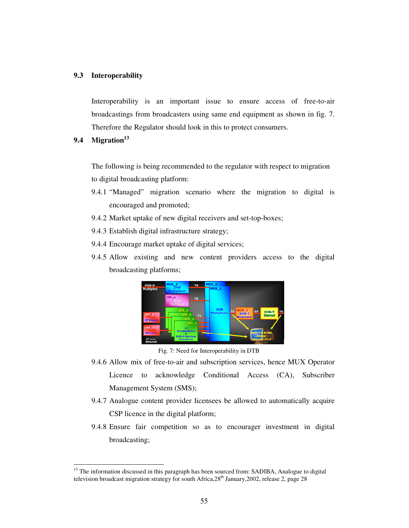### **9.3 Interoperability**

Interoperability is an important issue to ensure access of free-to-air broadcastings from broadcasters using same end equipment as shown in fig. 7. Therefore the Regulator should look in this to protect consumers.

# **9.4 Migration<sup>13</sup>**

 $\overline{a}$ 

The following is being recommended to the regulator with respect to migration to digital broadcasting platform:

- 9.4.1 "Managed" migration scenario where the migration to digital is encouraged and promoted;
- 9.4.2 Market uptake of new digital receivers and set-top-boxes;
- 9.4.3 Establish digital infrastructure strategy;
- 9.4.4 Encourage market uptake of digital services;
- 9.4.5 Allow existing and new content providers access to the digital broadcasting platforms;



Fig. 7: Need for Interoperability in DTB

- 9.4.6 Allow mix of free-to-air and subscription services, hence MUX Operator Licence to acknowledge Conditional Access (CA), Subscriber Management System (SMS);
- 9.4.7 Analogue content provider licensees be allowed to automatically acquire CSP licence in the digital platform;
- 9.4.8 Ensure fair competition so as to encourager investment in digital broadcasting;

<sup>&</sup>lt;sup>13</sup> The information discussed in this paragraph has been sourced from: SADIBA, Analogue to digital television broadcast migration strategy for south Africa,  $28<sup>th</sup>$  January, 2002, release 2, page 28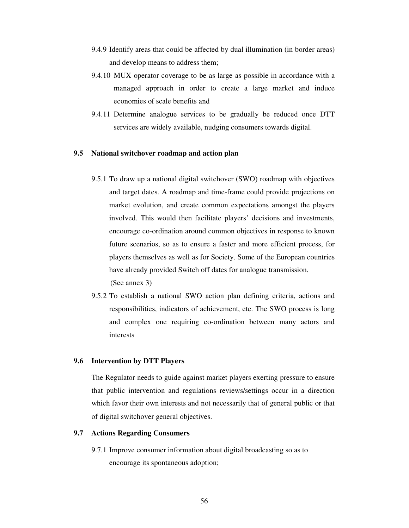- 9.4.9 Identify areas that could be affected by dual illumination (in border areas) and develop means to address them;
- 9.4.10 MUX operator coverage to be as large as possible in accordance with a managed approach in order to create a large market and induce economies of scale benefits and
- 9.4.11 Determine analogue services to be gradually be reduced once DTT services are widely available, nudging consumers towards digital.

# **9.5 National switchover roadmap and action plan**

- 9.5.1 To draw up a national digital switchover (SWO) roadmap with objectives and target dates. A roadmap and time-frame could provide projections on market evolution, and create common expectations amongst the players involved. This would then facilitate players' decisions and investments, encourage co-ordination around common objectives in response to known future scenarios, so as to ensure a faster and more efficient process, for players themselves as well as for Society. Some of the European countries have already provided Switch off dates for analogue transmission. (See annex 3)
- 9.5.2 To establish a national SWO action plan defining criteria, actions and responsibilities, indicators of achievement, etc. The SWO process is long and complex one requiring co-ordination between many actors and interests

### **9.6 Intervention by DTT Players**

The Regulator needs to guide against market players exerting pressure to ensure that public intervention and regulations reviews/settings occur in a direction which favor their own interests and not necessarily that of general public or that of digital switchover general objectives.

# **9.7 Actions Regarding Consumers**

9.7.1 Improve consumer information about digital broadcasting so as to encourage its spontaneous adoption;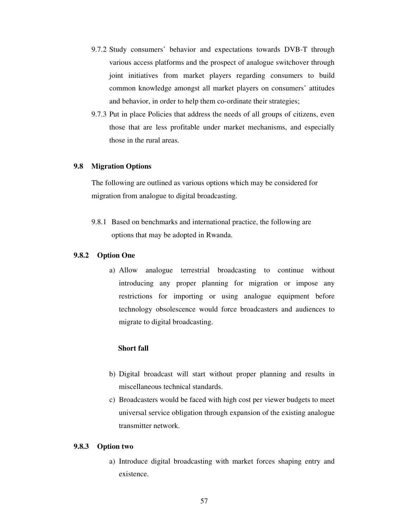- 9.7.2 Study consumers' behavior and expectations towards DVB-T through various access platforms and the prospect of analogue switchover through joint initiatives from market players regarding consumers to build common knowledge amongst all market players on consumers' attitudes and behavior, in order to help them co-ordinate their strategies;
- 9.7.3 Put in place Policies that address the needs of all groups of citizens, even those that are less profitable under market mechanisms, and especially those in the rural areas.

# **9.8 Migration Options**

The following are outlined as various options which may be considered for migration from analogue to digital broadcasting.

9.8.1 Based on benchmarks and international practice, the following are options that may be adopted in Rwanda.

### **9.8.2 Option One**

a) Allow analogue terrestrial broadcasting to continue without introducing any proper planning for migration or impose any restrictions for importing or using analogue equipment before technology obsolescence would force broadcasters and audiences to migrate to digital broadcasting.

# **Short fall**

- b) Digital broadcast will start without proper planning and results in miscellaneous technical standards.
- c) Broadcasters would be faced with high cost per viewer budgets to meet universal service obligation through expansion of the existing analogue transmitter network.

### **9.8.3 Option two**

a) Introduce digital broadcasting with market forces shaping entry and existence.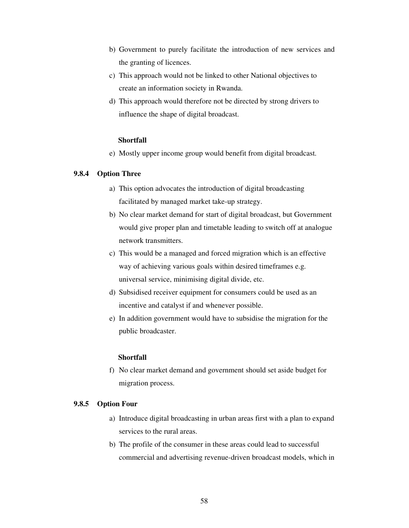- b) Government to purely facilitate the introduction of new services and the granting of licences.
- c) This approach would not be linked to other National objectives to create an information society in Rwanda.
- d) This approach would therefore not be directed by strong drivers to influence the shape of digital broadcast.

### **Shortfall**

e) Mostly upper income group would benefit from digital broadcast.

# **9.8.4 Option Three**

- a) This option advocates the introduction of digital broadcasting facilitated by managed market take-up strategy.
- b) No clear market demand for start of digital broadcast, but Government would give proper plan and timetable leading to switch off at analogue network transmitters.
- c) This would be a managed and forced migration which is an effective way of achieving various goals within desired timeframes e.g. universal service, minimising digital divide, etc.
- d) Subsidised receiver equipment for consumers could be used as an incentive and catalyst if and whenever possible.
- e) In addition government would have to subsidise the migration for the public broadcaster.

### **Shortfall**

f) No clear market demand and government should set aside budget for migration process.

# **9.8.5 Option Four**

- a) Introduce digital broadcasting in urban areas first with a plan to expand services to the rural areas.
- b) The profile of the consumer in these areas could lead to successful commercial and advertising revenue-driven broadcast models, which in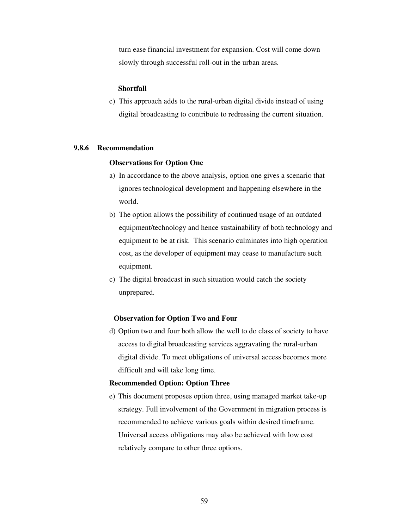turn ease financial investment for expansion. Cost will come down slowly through successful roll-out in the urban areas.

### **Shortfall**

c) This approach adds to the rural-urban digital divide instead of using digital broadcasting to contribute to redressing the current situation.

### **9.8.6 Recommendation**

# **Observations for Option One**

- a) In accordance to the above analysis, option one gives a scenario that ignores technological development and happening elsewhere in the world.
- b) The option allows the possibility of continued usage of an outdated equipment/technology and hence sustainability of both technology and equipment to be at risk. This scenario culminates into high operation cost, as the developer of equipment may cease to manufacture such equipment.
- c) The digital broadcast in such situation would catch the society unprepared.

# **Observation for Option Two and Four**

d) Option two and four both allow the well to do class of society to have access to digital broadcasting services aggravating the rural-urban digital divide. To meet obligations of universal access becomes more difficult and will take long time.

### **Recommended Option: Option Three**

e) This document proposes option three, using managed market take-up strategy. Full involvement of the Government in migration process is recommended to achieve various goals within desired timeframe. Universal access obligations may also be achieved with low cost relatively compare to other three options.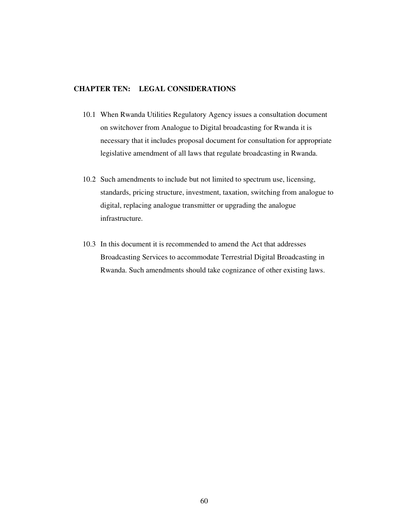# **CHAPTER TEN: LEGAL CONSIDERATIONS**

- 10.1 When Rwanda Utilities Regulatory Agency issues a consultation document on switchover from Analogue to Digital broadcasting for Rwanda it is necessary that it includes proposal document for consultation for appropriate legislative amendment of all laws that regulate broadcasting in Rwanda.
- 10.2 Such amendments to include but not limited to spectrum use, licensing, standards, pricing structure, investment, taxation, switching from analogue to digital, replacing analogue transmitter or upgrading the analogue infrastructure.
- 10.3 In this document it is recommended to amend the Act that addresses Broadcasting Services to accommodate Terrestrial Digital Broadcasting in Rwanda. Such amendments should take cognizance of other existing laws.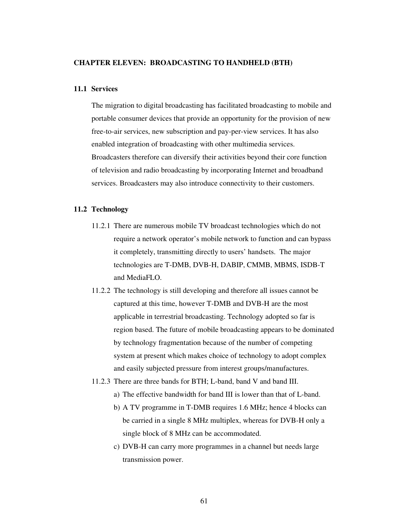#### **CHAPTER ELEVEN: BROADCASTING TO HANDHELD (BTH)**

#### **11.1 Services**

The migration to digital broadcasting has facilitated broadcasting to mobile and portable consumer devices that provide an opportunity for the provision of new free-to-air services, new subscription and pay-per-view services. It has also enabled integration of broadcasting with other multimedia services. Broadcasters therefore can diversify their activities beyond their core function of television and radio broadcasting by incorporating Internet and broadband services. Broadcasters may also introduce connectivity to their customers.

#### **11.2 Technology**

- 11.2.1 There are numerous mobile TV broadcast technologies which do not require a network operator's mobile network to function and can bypass it completely, transmitting directly to users' handsets. The major technologies are T-DMB, DVB-H, DABIP, CMMB, MBMS, ISDB-T and MediaFLO.
- 11.2.2 The technology is still developing and therefore all issues cannot be captured at this time, however T-DMB and DVB-H are the most applicable in terrestrial broadcasting. Technology adopted so far is region based. The future of mobile broadcasting appears to be dominated by technology fragmentation because of the number of competing system at present which makes choice of technology to adopt complex and easily subjected pressure from interest groups/manufactures.
- 11.2.3 There are three bands for BTH; L-band, band V and band III.
	- a) The effective bandwidth for band III is lower than that of L-band.
	- b) A TV programme in T-DMB requires 1.6 MHz; hence 4 blocks can be carried in a single 8 MHz multiplex, whereas for DVB-H only a single block of 8 MHz can be accommodated.
	- c) DVB-H can carry more programmes in a channel but needs large transmission power.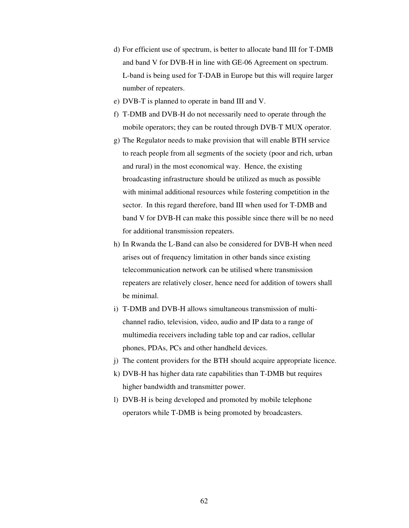- d) For efficient use of spectrum, is better to allocate band III for T-DMB and band V for DVB-H in line with GE-06 Agreement on spectrum. L-band is being used for T-DAB in Europe but this will require larger number of repeaters.
- e) DVB-T is planned to operate in band III and V.
- f) T-DMB and DVB-H do not necessarily need to operate through the mobile operators; they can be routed through DVB-T MUX operator.
- g) The Regulator needs to make provision that will enable BTH service to reach people from all segments of the society (poor and rich, urban and rural) in the most economical way. Hence, the existing broadcasting infrastructure should be utilized as much as possible with minimal additional resources while fostering competition in the sector. In this regard therefore, band III when used for T-DMB and band V for DVB-H can make this possible since there will be no need for additional transmission repeaters.
- h) In Rwanda the L-Band can also be considered for DVB-H when need arises out of frequency limitation in other bands since existing telecommunication network can be utilised where transmission repeaters are relatively closer, hence need for addition of towers shall be minimal.
- i) T-DMB and DVB-H allows simultaneous transmission of multichannel radio, television, video, audio and IP data to a range of multimedia receivers including table top and car radios, cellular phones, PDAs, PCs and other handheld devices.
- j) The content providers for the BTH should acquire appropriate licence.
- k) DVB-H has higher data rate capabilities than T-DMB but requires higher bandwidth and transmitter power.
- l) DVB-H is being developed and promoted by mobile telephone operators while T-DMB is being promoted by broadcasters.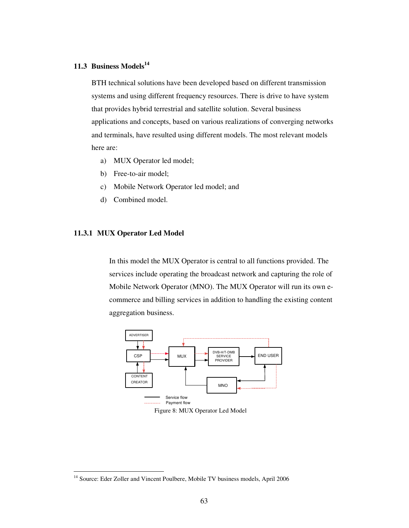## **11.3 Business Models<sup>14</sup>**

BTH technical solutions have been developed based on different transmission systems and using different frequency resources. There is drive to have system that provides hybrid terrestrial and satellite solution. Several business applications and concepts, based on various realizations of converging networks and terminals, have resulted using different models. The most relevant models here are:

- a) MUX Operator led model;
- b) Free-to-air model;
- c) Mobile Network Operator led model; and
- d) Combined model.

#### **11.3.1 MUX Operator Led Model**

 $\overline{a}$ 

In this model the MUX Operator is central to all functions provided. The services include operating the broadcast network and capturing the role of Mobile Network Operator (MNO). The MUX Operator will run its own ecommerce and billing services in addition to handling the existing content aggregation business.





<sup>&</sup>lt;sup>14</sup> Source: Eder Zoller and Vincent Poulbere, Mobile TV business models, April 2006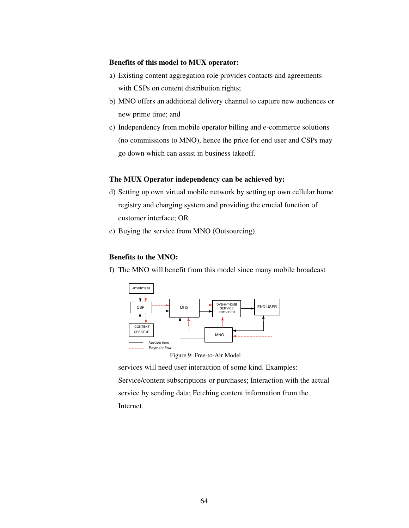## **Benefits of this model to MUX operator:**

- a) Existing content aggregation role provides contacts and agreements with CSPs on content distribution rights;
- b) MNO offers an additional delivery channel to capture new audiences or new prime time; and
- c) Independency from mobile operator billing and e-commerce solutions (no commissions to MNO), hence the price for end user and CSPs may go down which can assist in business takeoff.

## **The MUX Operator independency can be achieved by:**

- d) Setting up own virtual mobile network by setting up own cellular home registry and charging system and providing the crucial function of customer interface; OR
- e) Buying the service from MNO (Outsourcing).

## **Benefits to the MNO:**

f) The MNO will benefit from this model since many mobile broadcast



Figure 9: Free-to-Air Model

services will need user interaction of some kind. Examples: Service/content subscriptions or purchases; Interaction with the actual service by sending data; Fetching content information from the Internet.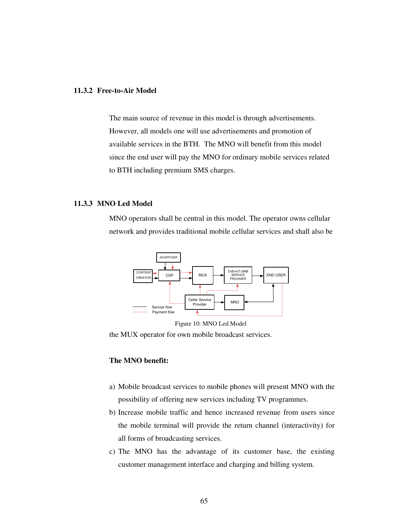#### **11.3.2 Free-to-Air Model**

The main source of revenue in this model is through advertisements. However, all models one will use advertisements and promotion of available services in the BTH. The MNO will benefit from this model since the end user will pay the MNO for ordinary mobile services related to BTH including premium SMS charges.

### **11.3.3 MNO Led Model**

MNO operators shall be central in this model. The operator owns cellular network and provides traditional mobile cellular services and shall also be





the MUX operator for own mobile broadcast services.

## **The MNO benefit:**

- a) Mobile broadcast services to mobile phones will present MNO with the possibility of offering new services including TV programmes.
- b) Increase mobile traffic and hence increased revenue from users since the mobile terminal will provide the return channel (interactivity) for all forms of broadcasting services.
- c) The MNO has the advantage of its customer base, the existing customer management interface and charging and billing system.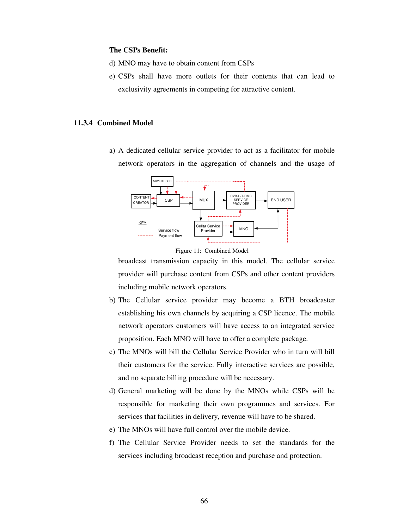#### Τ**he CSPs Benefit:**

- d) MNO may have to obtain content from CSPs
- e) CSPs shall have more outlets for their contents that can lead to exclusivity agreements in competing for attractive content.

#### **11.3.4 Combined Model**

a) A dedicated cellular service provider to act as a facilitator for mobile network operators in the aggregation of channels and the usage of





broadcast transmission capacity in this model. The cellular service provider will purchase content from CSPs and other content providers including mobile network operators.

- b) The Cellular service provider may become a BTH broadcaster establishing his own channels by acquiring a CSP licence. The mobile network operators customers will have access to an integrated service proposition. Each MNO will have to offer a complete package.
- c) The MNOs will bill the Cellular Service Provider who in turn will bill their customers for the service. Fully interactive services are possible, and no separate billing procedure will be necessary.
- d) General marketing will be done by the MNOs while CSPs will be responsible for marketing their own programmes and services. For services that facilities in delivery, revenue will have to be shared.
- e) The MNOs will have full control over the mobile device.
- f) The Cellular Service Provider needs to set the standards for the services including broadcast reception and purchase and protection.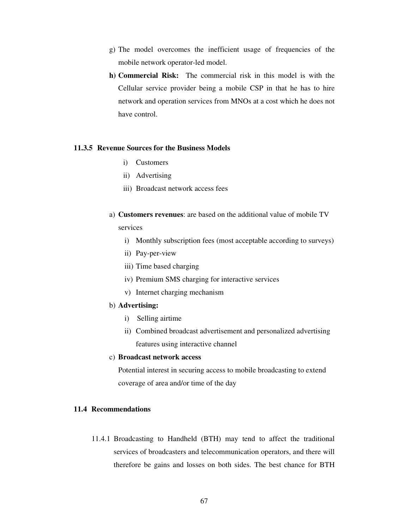- g) The model overcomes the inefficient usage of frequencies of the mobile network operator-led model.
- **h) Commercial Risk:** The commercial risk in this model is with the Cellular service provider being a mobile CSP in that he has to hire network and operation services from MNOs at a cost which he does not have control.

## **11.3.5 Revenue Sources for the Business Models**

- i) Customers
- ii) Advertising
- iii) Broadcast network access fees
- a) **Customers revenues**: are based on the additional value of mobile TV services
	- i) Monthly subscription fees (most acceptable according to surveys)
	- ii) Pay-per-view
	- iii) Time based charging
	- iv) Premium SMS charging for interactive services
	- v) Internet charging mechanism

#### b) **Advertising:**

- i) Selling airtime
- ii) Combined broadcast advertisement and personalized advertising features using interactive channel

#### c) **Broadcast network access**

Potential interest in securing access to mobile broadcasting to extend coverage of area and/or time of the day

## **11.4 Recommendations**

11.4.1 Broadcasting to Handheld (BTH) may tend to affect the traditional services of broadcasters and telecommunication operators, and there will therefore be gains and losses on both sides. The best chance for BTH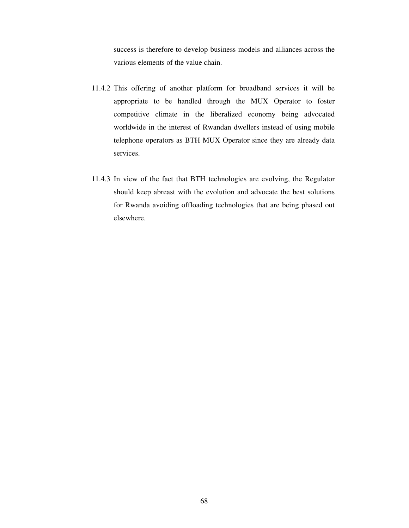success is therefore to develop business models and alliances across the various elements of the value chain.

- 11.4.2 This offering of another platform for broadband services it will be appropriate to be handled through the MUX Operator to foster competitive climate in the liberalized economy being advocated worldwide in the interest of Rwandan dwellers instead of using mobile telephone operators as BTH MUX Operator since they are already data services.
- 11.4.3 In view of the fact that BTH technologies are evolving, the Regulator should keep abreast with the evolution and advocate the best solutions for Rwanda avoiding offloading technologies that are being phased out elsewhere.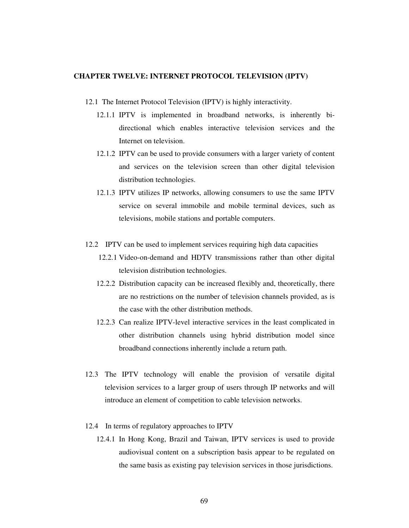#### **CHAPTER TWELVE: INTERNET PROTOCOL TELEVISION (IPTV)**

- 12.1 The Internet Protocol Television (IPTV) is highly interactivity.
	- 12.1.1 IPTV is implemented in broadband networks, is inherently bidirectional which enables interactive television services and the Internet on television.
	- 12.1.2 IPTV can be used to provide consumers with a larger variety of content and services on the television screen than other digital television distribution technologies.
	- 12.1.3 IPTV utilizes IP networks, allowing consumers to use the same IPTV service on several immobile and mobile terminal devices, such as televisions, mobile stations and portable computers.
- 12.2 IPTV can be used to implement services requiring high data capacities
	- 12.2.1 Video-on-demand and HDTV transmissions rather than other digital television distribution technologies.
	- 12.2.2 Distribution capacity can be increased flexibly and, theoretically, there are no restrictions on the number of television channels provided, as is the case with the other distribution methods.
	- 12.2.3 Can realize IPTV-level interactive services in the least complicated in other distribution channels using hybrid distribution model since broadband connections inherently include a return path.
- 12.3 The IPTV technology will enable the provision of versatile digital television services to a larger group of users through IP networks and will introduce an element of competition to cable television networks.
- 12.4 In terms of regulatory approaches to IPTV
	- 12.4.1 In Hong Kong, Brazil and Taiwan, IPTV services is used to provide audiovisual content on a subscription basis appear to be regulated on the same basis as existing pay television services in those jurisdictions.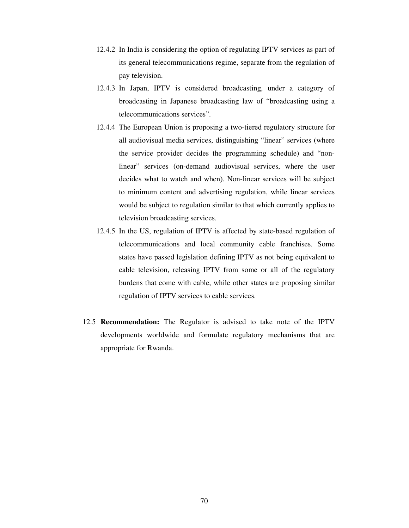- 12.4.2 In India is considering the option of regulating IPTV services as part of its general telecommunications regime, separate from the regulation of pay television.
- 12.4.3 In Japan, IPTV is considered broadcasting, under a category of broadcasting in Japanese broadcasting law of "broadcasting using a telecommunications services".
- 12.4.4 The European Union is proposing a two-tiered regulatory structure for all audiovisual media services, distinguishing "linear" services (where the service provider decides the programming schedule) and "nonlinear" services (on-demand audiovisual services, where the user decides what to watch and when). Non-linear services will be subject to minimum content and advertising regulation, while linear services would be subject to regulation similar to that which currently applies to television broadcasting services.
- 12.4.5 In the US, regulation of IPTV is affected by state-based regulation of telecommunications and local community cable franchises. Some states have passed legislation defining IPTV as not being equivalent to cable television, releasing IPTV from some or all of the regulatory burdens that come with cable, while other states are proposing similar regulation of IPTV services to cable services.
- 12.5 **Recommendation:** The Regulator is advised to take note of the IPTV developments worldwide and formulate regulatory mechanisms that are appropriate for Rwanda.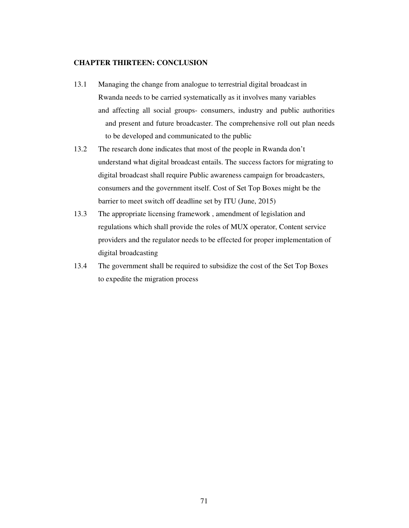## **CHAPTER THIRTEEN: CONCLUSION**

- 13.1 Managing the change from analogue to terrestrial digital broadcast in Rwanda needs to be carried systematically as it involves many variables and affecting all social groups- consumers, industry and public authorities and present and future broadcaster. The comprehensive roll out plan needs to be developed and communicated to the public
- 13.2 The research done indicates that most of the people in Rwanda don't understand what digital broadcast entails. The success factors for migrating to digital broadcast shall require Public awareness campaign for broadcasters, consumers and the government itself. Cost of Set Top Boxes might be the barrier to meet switch off deadline set by ITU (June, 2015)
- 13.3 The appropriate licensing framework , amendment of legislation and regulations which shall provide the roles of MUX operator, Content service providers and the regulator needs to be effected for proper implementation of digital broadcasting
- 13.4 The government shall be required to subsidize the cost of the Set Top Boxes to expedite the migration process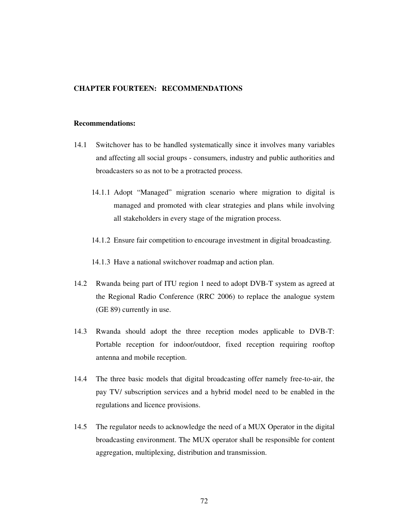### **CHAPTER FOURTEEN: RECOMMENDATIONS**

#### **Recommendations:**

- 14.1 Switchover has to be handled systematically since it involves many variables and affecting all social groups - consumers, industry and public authorities and broadcasters so as not to be a protracted process.
	- 14.1.1 Adopt "Managed" migration scenario where migration to digital is managed and promoted with clear strategies and plans while involving all stakeholders in every stage of the migration process.
	- 14.1.2 Ensure fair competition to encourage investment in digital broadcasting.

14.1.3 Have a national switchover roadmap and action plan.

- 14.2 Rwanda being part of ITU region 1 need to adopt DVB-T system as agreed at the Regional Radio Conference (RRC 2006) to replace the analogue system (GE 89) currently in use.
- 14.3 Rwanda should adopt the three reception modes applicable to DVB-T: Portable reception for indoor/outdoor, fixed reception requiring rooftop antenna and mobile reception.
- 14.4 The three basic models that digital broadcasting offer namely free-to-air, the pay TV/ subscription services and a hybrid model need to be enabled in the regulations and licence provisions.
- 14.5 The regulator needs to acknowledge the need of a MUX Operator in the digital broadcasting environment. The MUX operator shall be responsible for content aggregation, multiplexing, distribution and transmission.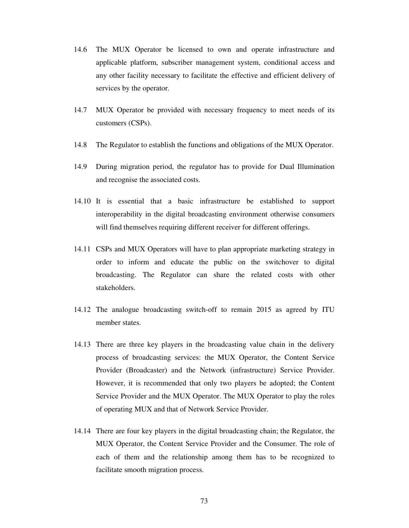- 14.6 The MUX Operator be licensed to own and operate infrastructure and applicable platform, subscriber management system, conditional access and any other facility necessary to facilitate the effective and efficient delivery of services by the operator.
- 14.7 MUX Operator be provided with necessary frequency to meet needs of its customers (CSPs).
- 14.8 The Regulator to establish the functions and obligations of the MUX Operator.
- 14.9 During migration period, the regulator has to provide for Dual Illumination and recognise the associated costs.
- 14.10 It is essential that a basic infrastructure be established to support interoperability in the digital broadcasting environment otherwise consumers will find themselves requiring different receiver for different offerings.
- 14.11 CSPs and MUX Operators will have to plan appropriate marketing strategy in order to inform and educate the public on the switchover to digital broadcasting. The Regulator can share the related costs with other stakeholders.
- 14.12 The analogue broadcasting switch-off to remain 2015 as agreed by ITU member states.
- 14.13 There are three key players in the broadcasting value chain in the delivery process of broadcasting services: the MUX Operator, the Content Service Provider (Broadcaster) and the Network (infrastructure) Service Provider. However, it is recommended that only two players be adopted; the Content Service Provider and the MUX Operator. The MUX Operator to play the roles of operating MUX and that of Network Service Provider.
- 14.14 There are four key players in the digital broadcasting chain; the Regulator, the MUX Operator, the Content Service Provider and the Consumer. The role of each of them and the relationship among them has to be recognized to facilitate smooth migration process.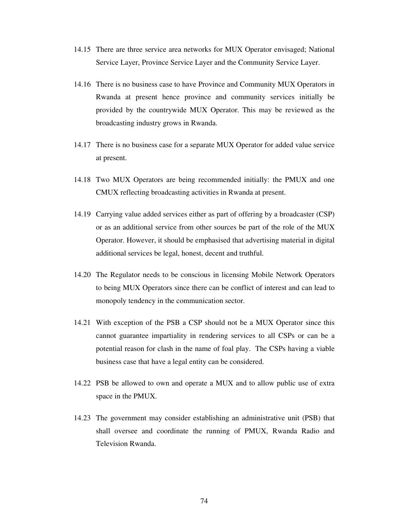- 14.15 There are three service area networks for MUX Operator envisaged; National Service Layer, Province Service Layer and the Community Service Layer.
- 14.16 There is no business case to have Province and Community MUX Operators in Rwanda at present hence province and community services initially be provided by the countrywide MUX Operator. This may be reviewed as the broadcasting industry grows in Rwanda.
- 14.17 There is no business case for a separate MUX Operator for added value service at present.
- 14.18 Two MUX Operators are being recommended initially: the PMUX and one CMUX reflecting broadcasting activities in Rwanda at present.
- 14.19 Carrying value added services either as part of offering by a broadcaster (CSP) or as an additional service from other sources be part of the role of the MUX Operator. However, it should be emphasised that advertising material in digital additional services be legal, honest, decent and truthful.
- 14.20 The Regulator needs to be conscious in licensing Mobile Network Operators to being MUX Operators since there can be conflict of interest and can lead to monopoly tendency in the communication sector.
- 14.21 With exception of the PSB a CSP should not be a MUX Operator since this cannot guarantee impartiality in rendering services to all CSPs or can be a potential reason for clash in the name of foal play. The CSPs having a viable business case that have a legal entity can be considered.
- 14.22 PSB be allowed to own and operate a MUX and to allow public use of extra space in the PMUX.
- 14.23 The government may consider establishing an administrative unit (PSB) that shall oversee and coordinate the running of PMUX, Rwanda Radio and Television Rwanda.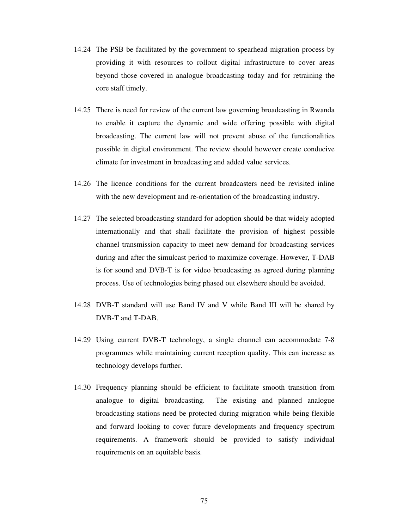- 14.24 The PSB be facilitated by the government to spearhead migration process by providing it with resources to rollout digital infrastructure to cover areas beyond those covered in analogue broadcasting today and for retraining the core staff timely.
- 14.25 There is need for review of the current law governing broadcasting in Rwanda to enable it capture the dynamic and wide offering possible with digital broadcasting. The current law will not prevent abuse of the functionalities possible in digital environment. The review should however create conducive climate for investment in broadcasting and added value services.
- 14.26 The licence conditions for the current broadcasters need be revisited inline with the new development and re-orientation of the broadcasting industry.
- 14.27 The selected broadcasting standard for adoption should be that widely adopted internationally and that shall facilitate the provision of highest possible channel transmission capacity to meet new demand for broadcasting services during and after the simulcast period to maximize coverage. However, T-DAB is for sound and DVB-T is for video broadcasting as agreed during planning process. Use of technologies being phased out elsewhere should be avoided.
- 14.28 DVB-T standard will use Band IV and V while Band III will be shared by DVB-T and T-DAB.
- 14.29 Using current DVB-T technology, a single channel can accommodate 7-8 programmes while maintaining current reception quality. This can increase as technology develops further.
- 14.30 Frequency planning should be efficient to facilitate smooth transition from analogue to digital broadcasting. The existing and planned analogue broadcasting stations need be protected during migration while being flexible and forward looking to cover future developments and frequency spectrum requirements. A framework should be provided to satisfy individual requirements on an equitable basis.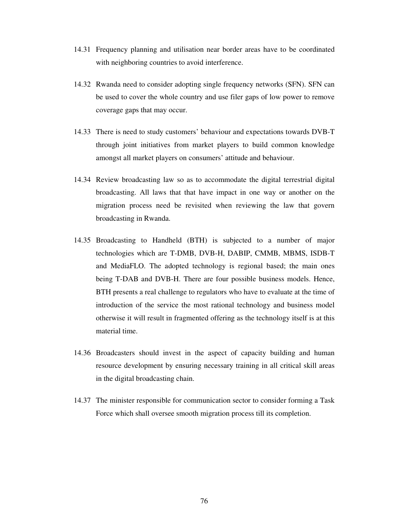- 14.31 Frequency planning and utilisation near border areas have to be coordinated with neighboring countries to avoid interference.
- 14.32 Rwanda need to consider adopting single frequency networks (SFN). SFN can be used to cover the whole country and use filer gaps of low power to remove coverage gaps that may occur.
- 14.33 There is need to study customers' behaviour and expectations towards DVB-T through joint initiatives from market players to build common knowledge amongst all market players on consumers' attitude and behaviour.
- 14.34 Review broadcasting law so as to accommodate the digital terrestrial digital broadcasting. All laws that that have impact in one way or another on the migration process need be revisited when reviewing the law that govern broadcasting in Rwanda.
- 14.35 Broadcasting to Handheld (BTH) is subjected to a number of major technologies which are T-DMB, DVB-H, DABIP, CMMB, MBMS, ISDB-T and MediaFLO. The adopted technology is regional based; the main ones being T-DAB and DVB-H. There are four possible business models. Hence, BTH presents a real challenge to regulators who have to evaluate at the time of introduction of the service the most rational technology and business model otherwise it will result in fragmented offering as the technology itself is at this material time.
- 14.36 Broadcasters should invest in the aspect of capacity building and human resource development by ensuring necessary training in all critical skill areas in the digital broadcasting chain.
- 14.37 The minister responsible for communication sector to consider forming a Task Force which shall oversee smooth migration process till its completion.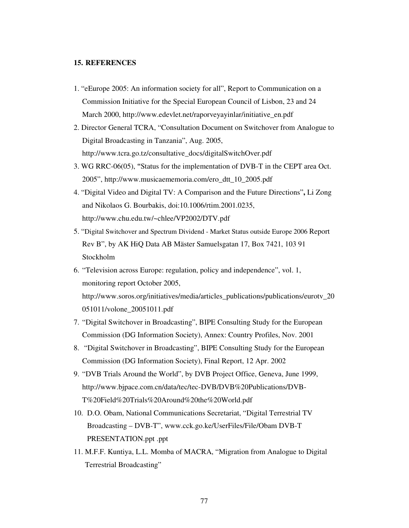#### **15. REFERENCES**

- 1. "eEurope 2005: An information society for all", Report to Communication on a Commission Initiative for the Special European Council of Lisbon, 23 and 24 March 2000, http://www.edevlet.net/raporveyayinlar/initiative\_en.pdf
- 2. Director General TCRA, "Consultation Document on Switchover from Analogue to Digital Broadcasting in Tanzania", Aug. 2005, http://www.tcra.go.tz/consultative\_docs/digitalSwitchOver.pdf
- 3. WG RRC-06(05), **"**Status for the implementation of DVB-T in the CEPT area Oct. 2005", http://www.musicaememoria.com/ero\_dtt\_10\_2005.pdf
- 4. "Digital Video and Digital TV: A Comparison and the Future Directions"**,** Li Zong and Nikolaos G. Bourbakis, doi:10.1006/rtim.2001.0235, http://www.chu.edu.tw/~chlee/VP2002/DTV.pdf
- 5. "Digital Switchover and Spectrum Dividend Market Status outside Europe 2006 Report Rev B", by AK HiQ Data AB Mäster Samuelsgatan 17, Box 7421, 103 91 Stockholm
- 6. "Television across Europe: regulation, policy and independence", vol. 1, monitoring report October 2005, http://www.soros.org/initiatives/media/articles\_publications/publications/eurotv\_20 051011/volone\_20051011.pdf
- 7. "Digital Switchover in Broadcasting", BIPE Consulting Study for the European Commission (DG Information Society), Annex: Country Profiles, Nov. 2001
- 8. "Digital Switchover in Broadcasting", BIPE Consulting Study for the European Commission (DG Information Society), Final Report, 12 Apr. 2002
- 9. "DVB Trials Around the World", by DVB Project Office, Geneva, June 1999, http://www.bjpace.com.cn/data/tec/tec-DVB/DVB%20Publications/DVB-T%20Field%20Trials%20Around%20the%20World.pdf
- 10. D.O. Obam, National Communications Secretariat, "Digital Terrestrial TV Broadcasting – DVB-T", www.cck.go.ke/UserFiles/File/Obam DVB-T PRESENTATION.ppt .ppt
- 11. M.F.F. Kuntiya, L.L. Momba of MACRA, "Migration from Analogue to Digital Terrestrial Broadcasting"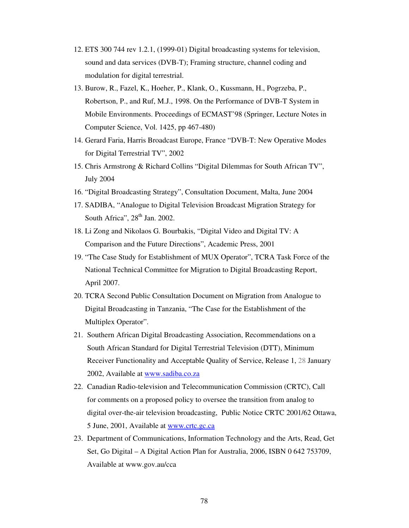- 12. ETS 300 744 rev 1.2.1, (1999-01) Digital broadcasting systems for television, sound and data services (DVB-T); Framing structure, channel coding and modulation for digital terrestrial.
- 13. Burow, R., Fazel, K., Hoeher, P., Klank, O., Kussmann, H., Pogrzeba, P., Robertson, P., and Ruf, M.J., 1998. On the Performance of DVB-T System in Mobile Environments. Proceedings of ECMAST'98 (Springer, Lecture Notes in Computer Science, Vol. 1425, pp 467-480)
- 14. Gerard Faria, Harris Broadcast Europe, France "DVB-T: New Operative Modes for Digital Terrestrial TV", 2002
- 15. Chris Armstrong & Richard Collins "Digital Dilemmas for South African TV", July 2004
- 16. "Digital Broadcasting Strategy", Consultation Document, Malta, June 2004
- 17. SADIBA, "Analogue to Digital Television Broadcast Migration Strategy for South Africa",  $28<sup>th</sup>$  Jan. 2002.
- 18. Li Zong and Nikolaos G. Bourbakis, "Digital Video and Digital TV: A Comparison and the Future Directions", Academic Press, 2001
- 19. "The Case Study for Establishment of MUX Operator", TCRA Task Force of the National Technical Committee for Migration to Digital Broadcasting Report, April 2007.
- 20. TCRA Second Public Consultation Document on Migration from Analogue to Digital Broadcasting in Tanzania, "The Case for the Establishment of the Multiplex Operator".
- 21. Southern African Digital Broadcasting Association, Recommendations on a South African Standard for Digital Terrestrial Television (DTT), Minimum Receiver Functionality and Acceptable Quality of Service, Release 1, 28 January 2002, Available at www.sadiba.co.za
- 22. Canadian Radio-television and Telecommunication Commission (CRTC), Call for comments on a proposed policy to oversee the transition from analog to digital over-the-air television broadcasting, Public Notice CRTC 2001/62 Ottawa, 5 June, 2001, Available at www.crtc.gc.ca
- 23. Department of Communications, Information Technology and the Arts, Read, Get Set, Go Digital – A Digital Action Plan for Australia, 2006, ISBN 0 642 753709, Available at www.gov.au/cca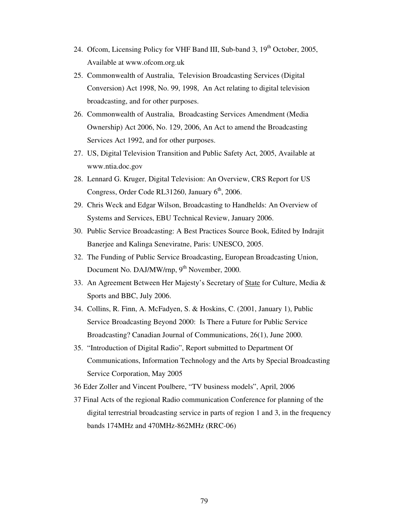- 24. Ofcom, Licensing Policy for VHF Band III, Sub-band 3, 19<sup>th</sup> October, 2005, Available at www.ofcom.org.uk
- 25. Commonwealth of Australia, Television Broadcasting Services (Digital Conversion) Act 1998, No. 99, 1998, An Act relating to digital television broadcasting, and for other purposes.
- 26. Commonwealth of Australia, Broadcasting Services Amendment (Media Ownership) Act 2006, No. 129, 2006, An Act to amend the Broadcasting Services Act 1992, and for other purposes.
- 27. US, Digital Television Transition and Public Safety Act, 2005, Available at www.ntia.doc.gov
- 28. Lennard G. Kruger, Digital Television: An Overview, CRS Report for US Congress, Order Code RL31260, January  $6<sup>th</sup>$ , 2006.
- 29. Chris Weck and Edgar Wilson, Broadcasting to Handhelds: An Overview of Systems and Services, EBU Technical Review, January 2006.
- 30. Public Service Broadcasting: A Best Practices Source Book, Edited by Indrajit Banerjee and Kalinga Seneviratne, Paris: UNESCO, 2005.
- 32. The Funding of Public Service Broadcasting, European Broadcasting Union, Document No. DAJ/MW/rnp, 9<sup>th</sup> November, 2000.
- 33. An Agreement Between Her Majesty's Secretary of State for Culture, Media & Sports and BBC, July 2006.
- 34. Collins, R. Finn, A. McFadyen, S. & Hoskins, C. (2001, January 1), Public Service Broadcasting Beyond 2000: Is There a Future for Public Service Broadcasting? Canadian Journal of Communications, 26(1), June 2000.
- 35. "Introduction of Digital Radio", Report submitted to Department Of Communications, Information Technology and the Arts by Special Broadcasting Service Corporation, May 2005
- 36 Eder Zoller and Vincent Poulbere, "TV business models", April, 2006
- 37 Final Acts of the regional Radio communication Conference for planning of the digital terrestrial broadcasting service in parts of region 1 and 3, in the frequency bands 174MHz and 470MHz-862MHz (RRC-06)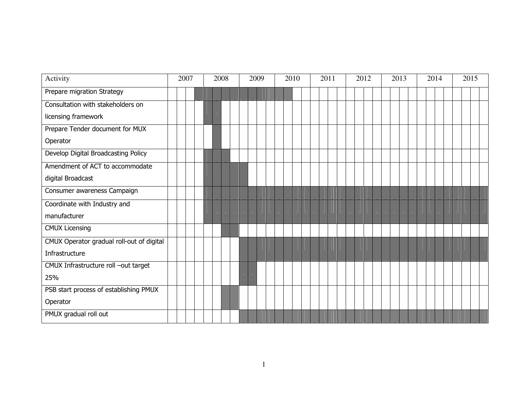| Activity                                  | 2007 |  | 2008 |  | 2009 |  | 2010 |  | 2011 |  | 2012 |  | 2013 |  | 2014 |  | 2015 |  |
|-------------------------------------------|------|--|------|--|------|--|------|--|------|--|------|--|------|--|------|--|------|--|
| Prepare migration Strategy                |      |  |      |  |      |  |      |  |      |  |      |  |      |  |      |  |      |  |
| Consultation with stakeholders on         |      |  |      |  |      |  |      |  |      |  |      |  |      |  |      |  |      |  |
| licensing framework                       |      |  |      |  |      |  |      |  |      |  |      |  |      |  |      |  |      |  |
| Prepare Tender document for MUX           |      |  |      |  |      |  |      |  |      |  |      |  |      |  |      |  |      |  |
| Operator                                  |      |  |      |  |      |  |      |  |      |  |      |  |      |  |      |  |      |  |
| Develop Digital Broadcasting Policy       |      |  |      |  |      |  |      |  |      |  |      |  |      |  |      |  |      |  |
| Amendment of ACT to accommodate           |      |  |      |  |      |  |      |  |      |  |      |  |      |  |      |  |      |  |
| digital Broadcast                         |      |  |      |  |      |  |      |  |      |  |      |  |      |  |      |  |      |  |
| Consumer awareness Campaign               |      |  |      |  |      |  |      |  |      |  |      |  |      |  |      |  |      |  |
| Coordinate with Industry and              |      |  |      |  |      |  |      |  |      |  |      |  |      |  |      |  |      |  |
| manufacturer                              |      |  |      |  |      |  |      |  |      |  |      |  |      |  |      |  |      |  |
| <b>CMUX Licensing</b>                     |      |  |      |  |      |  |      |  |      |  |      |  |      |  |      |  |      |  |
| CMUX Operator gradual roll-out of digital |      |  |      |  |      |  |      |  |      |  |      |  |      |  |      |  |      |  |
| Infrastructure                            |      |  |      |  |      |  |      |  |      |  |      |  |      |  |      |  |      |  |
| CMUX Infrastructure roll -out target      |      |  |      |  |      |  |      |  |      |  |      |  |      |  |      |  |      |  |
| 25%                                       |      |  |      |  |      |  |      |  |      |  |      |  |      |  |      |  |      |  |
| PSB start process of establishing PMUX    |      |  |      |  |      |  |      |  |      |  |      |  |      |  |      |  |      |  |
| Operator                                  |      |  |      |  |      |  |      |  |      |  |      |  |      |  |      |  |      |  |
| PMUX gradual roll out                     |      |  |      |  |      |  |      |  |      |  |      |  |      |  |      |  |      |  |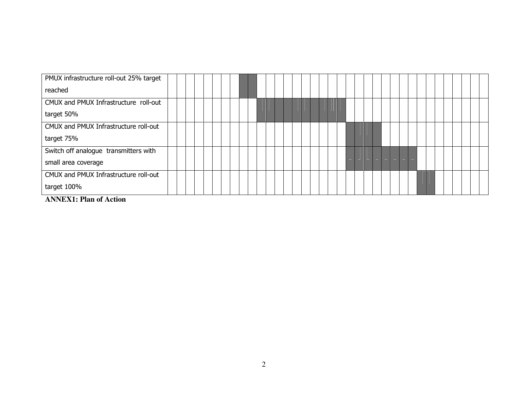| PMUX infrastructure roll-out 25% target |
|-----------------------------------------|
| reached                                 |
| CMUX and PMUX Infrastructure roll-out   |
| target 50%                              |
| CMUX and PMUX Infrastructure roll-out   |
| target 75%                              |
| Switch off analogue transmitters with   |
| small area coverage                     |
| CMUX and PMUX Infrastructure roll-out   |
| target 100%<br>$\sim$ $\sim$            |

**ANNEX1: Plan of Action**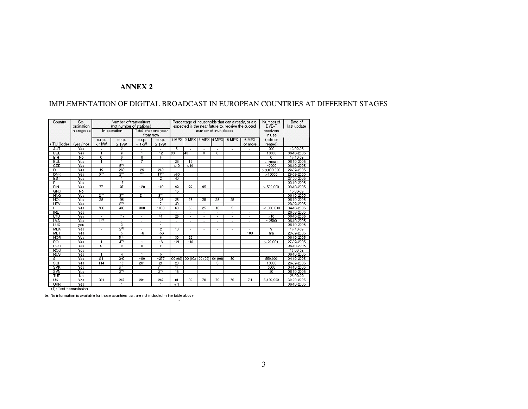## **ANNEX 2**

## IMPLEMENTATION OF DIGITAL BROADCAST IN EUROPEAN COUNTRIES AT DIFFERENT STAGES

| Country    | $Co-$<br>ordination | Number of transmitters<br>(not number of stations) |                    |                          | Percentage of households that can already, or are<br>expected in the near future to, receive the quoted | Number of<br>DVB-T | Date of<br>last update   |                          |                          |                          |                          |             |            |
|------------|---------------------|----------------------------------------------------|--------------------|--------------------------|---------------------------------------------------------------------------------------------------------|--------------------|--------------------------|--------------------------|--------------------------|--------------------------|--------------------------|-------------|------------|
|            | in progress         |                                                    | In operation       |                          | Total after one year                                                                                    |                    |                          | number of multiplexes    |                          | receivers<br>in use      |                          |             |            |
|            |                     |                                                    |                    |                          | from now                                                                                                |                    | 1 MPX 2 MPX 3 MPX 4 MPX  |                          |                          |                          |                          |             |            |
|            |                     | e.r.p.                                             | e.r.p.             | e.r.p.                   | e.r.p.                                                                                                  |                    |                          |                          |                          | 5 MPX                    | 6 MPX                    | (sold or    |            |
| (ITU Code) | ives/no)            | $< 1$ <sub>k</sub> W                               | $\geq$ 1 kW        | $< 1$ kW                 | $\geq$ 1kW                                                                                              |                    |                          |                          |                          |                          | or more                  | rented)     |            |
| AUT        | Yes                 |                                                    | 2                  |                          |                                                                                                         | 5                  |                          | ٠                        | ٠                        | $\overline{\phantom{a}}$ |                          | 200         | 10-02-05   |
| <b>BEL</b> | Yes                 | 1                                                  | g                  | и                        | 12                                                                                                      | 80                 | 40                       | $\Omega$                 | $\overline{0}$           |                          |                          | 10000       | 06-10-2005 |
| BIH        | No                  | 0                                                  | $\overline{0}$     | $\overline{0}$           | 0                                                                                                       |                    |                          |                          |                          |                          |                          | 0           | 17-10-03   |
| <b>BUL</b> | Yes                 | ٦                                                  |                    | 7                        |                                                                                                         | 26                 | 12                       |                          |                          |                          |                          | unknown     | 06-10-2005 |
| CZE        | Yes                 |                                                    | $5^{(1)}$          |                          |                                                                                                         | 510                | >10                      |                          |                          |                          |                          | ~2000       | 06-10-2005 |
| D          | Yes                 | 19                                                 | 208                | 29                       | 298                                                                                                     |                    |                          |                          |                          |                          |                          | > 3.000.000 | 29-09-2005 |
| <b>DNK</b> | Yes                 | $0_{\rm m}$                                        | $2^{10}$           | प्रम                     | $17^{17}$                                                                                               | > 90               |                          |                          |                          |                          |                          | >15000      | 29-09-2005 |
| EST        | Yes                 |                                                    |                    |                          | 2                                                                                                       | 40                 |                          |                          |                          |                          |                          |             | 27-09-2005 |
| F          | Yes                 |                                                    | 17                 |                          |                                                                                                         |                    |                          |                          |                          |                          |                          |             | 03-10-2005 |
| FIN        | Yes                 | $\overline{\tau}$                                  | $\overline{97}$    | 120                      | 100                                                                                                     | 99                 | 99                       | 85                       |                          |                          |                          | > 500000    | 03-10-2005 |
| GRC        | No                  |                                                    |                    |                          |                                                                                                         | 15                 |                          |                          |                          |                          |                          |             | 10-06-03   |
| <b>HNG</b> | Yes                 | $2^m$                                              | $3_{\prime}$       | $2^{n}$                  | $3_{\mu\nu}$                                                                                            |                    |                          |                          |                          |                          |                          |             | 06-10-2005 |
| HOL        | Yes                 | 25                                                 | 96                 |                          | 136                                                                                                     | 25                 | 25                       | 25                       | 25                       | 25                       |                          |             | 06-10-2005 |
| <b>HRV</b> | Yes                 |                                                    | $3^{(1)}$          |                          | 7                                                                                                       | 40                 |                          |                          |                          |                          |                          |             | 28-09-2005 |
|            | Yes                 | 700                                                | 900                | 800                      | 1000                                                                                                    | ഌ                  | 50                       | 25                       | 10                       | 5                        |                          | >1.000.000  | 04-10-2005 |
| <b>IRL</b> | Yes                 |                                                    |                    |                          |                                                                                                         |                    | ٠                        | $\overline{\phantom{a}}$ | $\blacksquare$           | $\overline{\phantom{a}}$ | $\overline{a}$           |             | 26-09-2005 |
| LTU        | Yes                 | $\overline{\phantom{a}}$                           | (1)                | $\overline{\phantom{a}}$ | $\geq 1$                                                                                                | 25                 | $\overline{\phantom{a}}$ | $\overline{\phantom{a}}$ | $\overline{\phantom{a}}$ | $\overline{\phantom{a}}$ | $\overline{\phantom{a}}$ | >10         | 06-10-2005 |
| LVA        | Yes                 | 40)                                                |                    |                          |                                                                                                         |                    |                          |                          | ٠                        |                          |                          | ~2500       | 06-10-2005 |
| LUX        | yes                 |                                                    | 3                  |                          | 4                                                                                                       |                    | ٠                        | $\overline{\phantom{a}}$ | ٠                        | ٠                        | ÷                        |             | 06-10-2005 |
| <b>MDA</b> | Yes                 | ÷                                                  | $2^{(1)}$          |                          | 2                                                                                                       | 10                 | $\overline{a}$           | $\overline{a}$           | $\overline{a}$           | ÷                        |                          | 3           | 17-10-03   |
| <b>MLT</b> | Yes                 |                                                    | 5                  | $\sim$ 8                 | ~56                                                                                                     |                    |                          |                          |                          |                          | 100                      | n/a         | 23-09-2005 |
| <b>NOR</b> | Yes                 |                                                    | 5 11               |                          | 6                                                                                                       | 30                 | 22                       |                          |                          |                          |                          |             | 06-10-2005 |
| POL        | Yes                 |                                                    | $4^{11}$           |                          | 16                                                                                                      | ~21                | ~16                      |                          |                          |                          |                          | > 20000     | 27-09-2005 |
| POR        | Yes                 | 0                                                  | $\mathbf 0$        | $\Omega$                 | 0                                                                                                       |                    |                          |                          |                          |                          |                          |             | 06-10-2005 |
| ROU        | Yes                 |                                                    |                    |                          |                                                                                                         |                    |                          |                          |                          |                          |                          |             | 16-09-03   |
| <b>RUS</b> | Yes                 |                                                    | 4                  |                          | 5                                                                                                       |                    |                          |                          |                          |                          |                          |             | 06-10-2005 |
| S          | Yes                 | 34                                                 | 249                | ~20                      | $-277$                                                                                                  | 90 (98)            | 90(98)                   | 90 (98) 90 (98)          |                          | 50                       |                          | 550.000     | 04-10-2005 |
| SUI        | Yes                 | 114                                                | 13                 | 201                      | 21                                                                                                      | 20                 |                          |                          | 5                        |                          |                          | 15000       | 26-09-2005 |
| SVK        | Yes                 |                                                    | $3^{\prime\prime}$ |                          | 7 11                                                                                                    | 17                 |                          |                          |                          |                          |                          | 5500        | 04-10-2005 |
| SVN        | Yes                 | ÷                                                  | $2^{(1)}$          |                          | $2^{(1)}$                                                                                               | 15                 |                          |                          |                          |                          |                          | 20          | 06-10-2005 |
| TUR        | No                  |                                                    |                    |                          |                                                                                                         |                    |                          |                          |                          |                          |                          |             | 28-09-99   |
| UK         | Yes                 | 231                                                | 267                | 231                      | 267                                                                                                     | 81                 | 80                       | 78                       | 79                       | 76                       | 74                       | 5,180,000   | 30-09-2005 |
| UKR        | Yes                 |                                                    |                    |                          |                                                                                                         | $\leq 1$           |                          |                          |                          |                          |                          |             | 06-10-2005 |

(1): Test transmission

te: No information is available for those countries that are not included in the table above.  $\overline{\mathbf{3}}$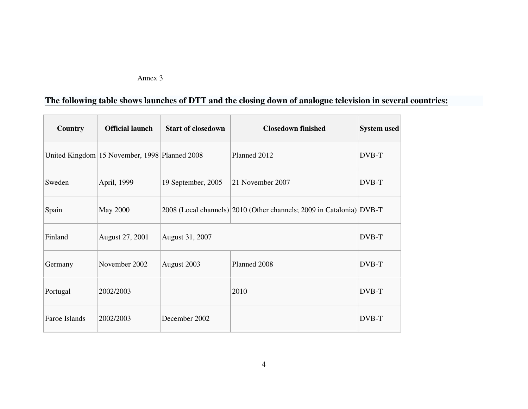## Annex 3

# **The following table shows launches of DTT and the closing down of analogue television in several countries:**

| Country       | <b>Official launch</b>                        | <b>Start of closedown</b> | <b>Closedown finished</b>                                            | <b>System used</b> |
|---------------|-----------------------------------------------|---------------------------|----------------------------------------------------------------------|--------------------|
|               | United Kingdom 15 November, 1998 Planned 2008 |                           | Planned 2012                                                         | DVB-T              |
| Sweden        | April, 1999                                   | 19 September, 2005        | 21 November 2007                                                     | DVB-T              |
| Spain         | <b>May 2000</b>                               |                           | 2008 (Local channels) 2010 (Other channels; 2009 in Catalonia) DVB-T |                    |
| Finland       | August 27, 2001                               | August 31, 2007           |                                                                      | DVB-T              |
| Germany       | November 2002                                 | August 2003               | Planned 2008                                                         | DVB-T              |
| Portugal      | 2002/2003                                     |                           | 2010                                                                 | DVB-T              |
| Faroe Islands | 2002/2003                                     | December 2002             |                                                                      | DVB-T              |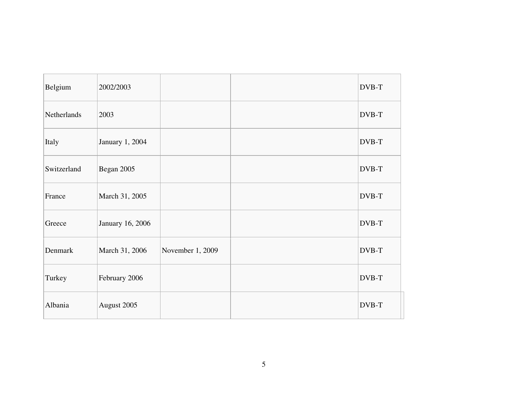| Belgium     | 2002/2003        |                  | DVB-T |
|-------------|------------------|------------------|-------|
| Netherlands | 2003             |                  | DVB-T |
| Italy       | January 1, 2004  |                  | DVB-T |
| Switzerland | Began 2005       |                  | DVB-T |
| France      | March 31, 2005   |                  | DVB-T |
| Greece      | January 16, 2006 |                  | DVB-T |
| Denmark     | March 31, 2006   | November 1, 2009 | DVB-T |
| Turkey      | February 2006    |                  | DVB-T |
| Albania     | August 2005      |                  | DVB-T |